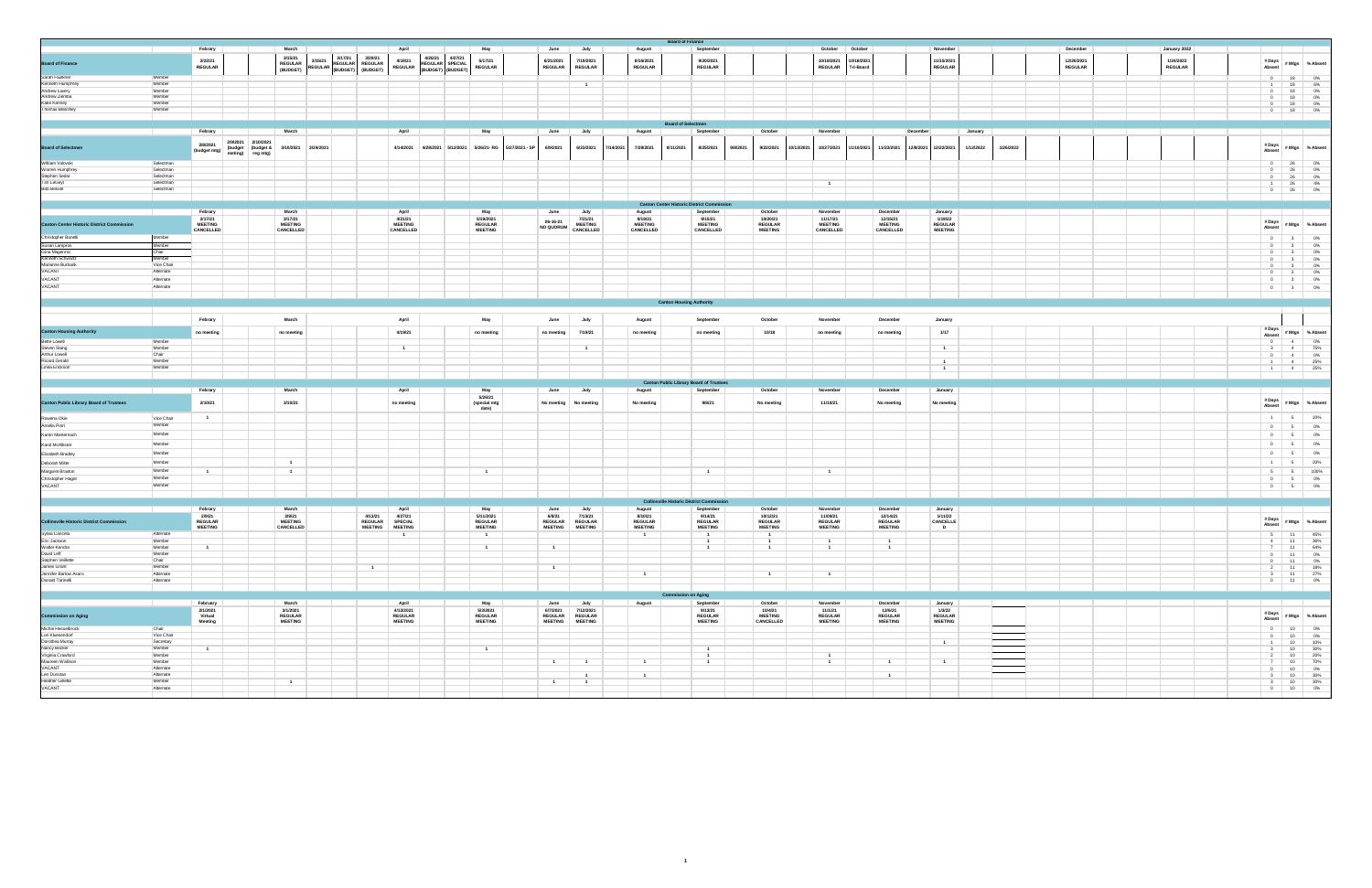|                                                                                                                              |                        | Febrary                          |                                       | March                       |           |                                                         | April                                                  |           |                                      | May                              | June                             | July                             | August                           | <b>Board of Finance</b>                           | September                           |                                  |            | October                          | October          |                                  | November                  |                |           | December       |  | January 2022   |                                                                                                                                                                                                                                      |                                           |                                                                                     |
|------------------------------------------------------------------------------------------------------------------------------|------------------------|----------------------------------|---------------------------------------|-----------------------------|-----------|---------------------------------------------------------|--------------------------------------------------------|-----------|--------------------------------------|----------------------------------|----------------------------------|----------------------------------|----------------------------------|---------------------------------------------------|-------------------------------------|----------------------------------|------------|----------------------------------|------------------|----------------------------------|---------------------------|----------------|-----------|----------------|--|----------------|--------------------------------------------------------------------------------------------------------------------------------------------------------------------------------------------------------------------------------------|-------------------------------------------|-------------------------------------------------------------------------------------|
|                                                                                                                              |                        | 2/22/21                          |                                       | 3/15/21                     | 3/15/21   | 3/17/21<br>3/29/21                                      | 4/19/21                                                | 4/26/21   | 4/27/21                              | 5/17/21                          | 6/21/2021                        | 7/19/2021                        | 8/16/2021                        |                                                   | 9/20/2021                           |                                  |            | 10/18/2021                       | 10/18/2021       |                                  | 11/15/2021                |                |           | 12/20/2021     |  | 1/24/2022      |                                                                                                                                                                                                                                      |                                           |                                                                                     |
| <b>Board of Finance</b>                                                                                                      |                        | <b>REGULAR</b>                   |                                       | REGULAR<br>(BUDGET)         |           | 3/15/21<br>REGULAR REGULAR REGULAR<br>(BUDGET) (BUDGET) | <b>REGULAR</b>                                         |           | REGULAR SPECIAL<br>(BUDGET) (BUDGET) | <b>REGULAR</b>                   | <b>REGULAR</b>                   | <b>REGULAR</b>                   | <b>REGULAR</b>                   |                                                   | <b>REGULAR</b>                      |                                  |            | <b>REGULAR</b>                   | <b>Tri-Board</b> |                                  | <b>REGULAR</b>            |                |           | <b>REGULAR</b> |  | <b>REGULAR</b> | # Days<br>Absent                                                                                                                                                                                                                     | # Mtgs % Absent                           |                                                                                     |
| Sarah Faulkner<br>Kenneth Humphrey                                                                                           | Member                 |                                  |                                       |                             |           |                                                         |                                                        |           |                                      |                                  |                                  |                                  |                                  |                                                   |                                     |                                  |            |                                  |                  |                                  |                           |                |           |                |  |                |                                                                                                                                                                                                                                      | 18                                        |                                                                                     |
|                                                                                                                              | Member<br>Member       |                                  |                                       |                             |           |                                                         |                                                        |           |                                      |                                  |                                  |                                  |                                  |                                                   |                                     |                                  |            |                                  |                  |                                  |                           |                |           |                |  |                | $-1$<br>$\overline{\phantom{0}}$                                                                                                                                                                                                     | 18<br>18                                  | $\begin{array}{l} 0\% \\ 6\% \\ 0\% \\ 0\% \\ 0\% \\ 0\% \\ 0\% \\ 0\% \end{array}$ |
| Andrew Lavery<br>Andrew Ziemba<br>Katie Kenney                                                                               | Member                 |                                  |                                       |                             |           |                                                         |                                                        |           |                                      |                                  |                                  |                                  |                                  |                                                   |                                     |                                  |            |                                  |                  |                                  |                           |                |           |                |  |                | $\overline{\phantom{0}}$                                                                                                                                                                                                             | 18                                        |                                                                                     |
|                                                                                                                              | Member                 |                                  |                                       |                             |           |                                                         |                                                        |           |                                      |                                  |                                  |                                  |                                  |                                                   |                                     |                                  |            |                                  |                  |                                  |                           |                |           |                |  |                | $\overline{\phantom{0}}$                                                                                                                                                                                                             | 18                                        |                                                                                     |
| Thomas Blatchley                                                                                                             | Member                 |                                  |                                       |                             |           |                                                         |                                                        |           |                                      |                                  |                                  |                                  |                                  |                                                   |                                     |                                  |            |                                  |                  |                                  |                           |                |           |                |  |                | $0$ 18                                                                                                                                                                                                                               |                                           |                                                                                     |
|                                                                                                                              |                        |                                  |                                       |                             |           |                                                         |                                                        |           |                                      |                                  |                                  |                                  |                                  | <b>Board of Selectmen</b>                         |                                     |                                  |            |                                  |                  |                                  |                           |                |           |                |  |                |                                                                                                                                                                                                                                      |                                           |                                                                                     |
|                                                                                                                              |                        | Febrary                          |                                       | March                       |           |                                                         | April                                                  |           |                                      | May                              | June                             | July                             | August                           |                                                   | September                           | October                          |            | November                         |                  |                                  | December                  | January        |           |                |  |                |                                                                                                                                                                                                                                      |                                           |                                                                                     |
|                                                                                                                              |                        | 2/8/2021                         | 2/9/2021<br>2/10/2021                 |                             |           |                                                         |                                                        |           |                                      |                                  |                                  |                                  |                                  |                                                   |                                     |                                  |            |                                  |                  |                                  |                           |                |           |                |  |                |                                                                                                                                                                                                                                      |                                           |                                                                                     |
| <b>Board of Selectmen</b>                                                                                                    |                        | (budget mtg)                     | (budget (budget &<br>meting) reg mtg) | 3/10/2021                   | 3/24/2021 |                                                         | 4/14/2021                                              | 4/28/2021 | 5/12/2021                            | 5/26/21- RG 5/27/2021 - SP       | 6/9/2021                         | 6/23/2021                        | 7/28/2021<br>7/14/2021           | 8/11/2021                                         | 8/25/2021<br>9/8/2021               | 9/22/2021                        | 10/13/2021 | 10/27/2021                       | 11/10/2021       | 11/23/2021                       | 12/8/2021<br>12/22/2021   | 1/12/2022      | 1/26/2022 |                |  |                | # Days<br>Absent                                                                                                                                                                                                                     | # Mtgs % Absent                           |                                                                                     |
| William Volovski                                                                                                             | Selectman              |                                  |                                       |                             |           |                                                         |                                                        |           |                                      |                                  |                                  |                                  |                                  |                                                   |                                     |                                  |            |                                  |                  |                                  |                           |                |           |                |  |                | $\begin{array}{ccc} & 0 & \end{array}$                                                                                                                                                                                               |                                           |                                                                                     |
| Warren Humphrey                                                                                                              | Selectman              |                                  |                                       |                             |           |                                                         |                                                        |           |                                      |                                  |                                  |                                  |                                  |                                                   |                                     |                                  |            |                                  |                  |                                  |                           |                |           |                |  |                | $\overline{\phantom{0}}$                                                                                                                                                                                                             | 26<br>26                                  | 0%<br>$0\%$                                                                         |
| Stephen Sedor                                                                                                                | Selectman              |                                  |                                       |                             |           |                                                         |                                                        |           |                                      |                                  |                                  |                                  |                                  |                                                   |                                     |                                  |            |                                  |                  |                                  |                           |                |           |                |  |                | $\overline{\phantom{0}}$                                                                                                                                                                                                             | 26                                        | $0\%$<br>$4\%$                                                                      |
| Tim LeGeyt<br><b>Bob Bessel</b>                                                                                              | Selectman<br>Selectman |                                  |                                       |                             |           |                                                         |                                                        |           |                                      |                                  |                                  |                                  |                                  |                                                   |                                     |                                  |            | $\blacksquare$                   |                  |                                  |                           |                |           |                |  |                | $-1$<br>$\overline{\phantom{0}}$                                                                                                                                                                                                     | 26<br>26                                  | 0%                                                                                  |
|                                                                                                                              |                        |                                  |                                       |                             |           |                                                         |                                                        |           |                                      |                                  |                                  |                                  |                                  |                                                   |                                     |                                  |            |                                  |                  |                                  |                           |                |           |                |  |                |                                                                                                                                                                                                                                      |                                           |                                                                                     |
|                                                                                                                              |                        |                                  |                                       |                             |           |                                                         |                                                        |           |                                      |                                  |                                  |                                  |                                  | <b>Canton Center Historic District Commission</b> |                                     |                                  |            |                                  |                  |                                  |                           |                |           |                |  |                |                                                                                                                                                                                                                                      |                                           |                                                                                     |
|                                                                                                                              |                        | Febrary                          |                                       | March                       |           |                                                         | April                                                  |           |                                      | May                              | June                             | July                             | August                           |                                                   | September                           | October                          |            | November                         |                  | December                         | January                   |                |           |                |  |                |                                                                                                                                                                                                                                      |                                           |                                                                                     |
| <b>Canton Center Historic District Commission</b>                                                                            |                        | 2/17/21<br><b>MEETING</b>        |                                       | 3/17/21<br><b>MEETING</b>   |           |                                                         | 4/21/21<br><b>MEETING</b>                              |           |                                      | 5/19/2021<br><b>REGULAR</b>      | 06-16-21                         | 7/21/21<br><b>MEETING</b>        | 8/18/21<br><b>MEETING</b>        |                                                   | 9/15/21<br><b>MEETING</b>           | 10/20/21<br><b>REGULAR</b>       |            | 11/17/21<br><b>MEETING</b>       |                  | 12/15/21<br><b>MEETING</b>       | 1/19/22<br><b>REGULAR</b> |                |           |                |  |                | # Days                                                                                                                                                                                                                               |                                           | #Mtgs % Absent                                                                      |
|                                                                                                                              |                        | CANCELLED                        |                                       | CANCELLED                   |           |                                                         | CANCELLED                                              |           |                                      | <b>MEETING</b>                   | NO QUORUM                        | CANCELLED                        | CANCELLED                        |                                                   | CANCELLED                           | <b>MEETING</b>                   |            | CANCELLED                        |                  | CANCELLED                        | <b>MEETING</b>            |                |           |                |  |                | Absent                                                                                                                                                                                                                               |                                           |                                                                                     |
| Christopher Bonelli                                                                                                          | Member<br>Member       |                                  |                                       |                             |           |                                                         |                                                        |           |                                      |                                  |                                  |                                  |                                  |                                                   |                                     |                                  |            |                                  |                  |                                  |                           |                |           |                |  |                | $\overline{\phantom{0}}$<br>$\overline{0}$                                                                                                                                                                                           | $\overline{\mathbf{3}}$<br>$\overline{3}$ | 0%                                                                                  |
| Susan Lampros<br>Gina Magennis<br>Kenneth Schwartz<br>Marianne Burbank                                                       | Chair                  |                                  |                                       |                             |           |                                                         |                                                        |           |                                      |                                  |                                  |                                  |                                  |                                                   |                                     |                                  |            |                                  |                  |                                  |                           |                |           |                |  |                | $\overline{0}$                                                                                                                                                                                                                       | $\mathbf{3}$                              | $0\%$<br>$0\%$                                                                      |
|                                                                                                                              | Member                 |                                  |                                       |                             |           |                                                         |                                                        |           |                                      |                                  |                                  |                                  |                                  |                                                   |                                     |                                  |            |                                  |                  |                                  |                           |                |           |                |  |                | $\overline{\phantom{0}}$                                                                                                                                                                                                             |                                           | $0\%$                                                                               |
| VACANT                                                                                                                       | Vice Chair             |                                  |                                       |                             |           |                                                         |                                                        |           |                                      |                                  |                                  |                                  |                                  |                                                   |                                     |                                  |            |                                  |                  |                                  |                           |                |           |                |  |                | $\overline{0}$                                                                                                                                                                                                                       |                                           | 0%                                                                                  |
| VACANT                                                                                                                       | Alternate<br>Alternate |                                  |                                       |                             |           |                                                         |                                                        |           |                                      |                                  |                                  |                                  |                                  |                                                   |                                     |                                  |            |                                  |                  |                                  |                           |                |           |                |  |                | $\overline{0}$                                                                                                                                                                                                                       | $\overline{\mathbf{3}}$<br>3              | $0\%$<br>0%                                                                         |
| VACANT                                                                                                                       | Alternate              |                                  |                                       |                             |           |                                                         |                                                        |           |                                      |                                  |                                  |                                  |                                  |                                                   |                                     |                                  |            |                                  |                  |                                  |                           |                |           |                |  |                | $\overline{\phantom{0}}$                                                                                                                                                                                                             | $3 \mid$                                  | 0%                                                                                  |
|                                                                                                                              |                        |                                  |                                       |                             |           |                                                         |                                                        |           |                                      |                                  |                                  |                                  |                                  |                                                   |                                     |                                  |            |                                  |                  |                                  |                           |                |           |                |  |                |                                                                                                                                                                                                                                      |                                           |                                                                                     |
|                                                                                                                              |                        |                                  |                                       |                             |           |                                                         |                                                        |           |                                      |                                  |                                  |                                  |                                  | <b>Canton Housing Authority</b>                   |                                     |                                  |            |                                  |                  |                                  |                           |                |           |                |  |                |                                                                                                                                                                                                                                      |                                           |                                                                                     |
|                                                                                                                              |                        |                                  |                                       |                             |           |                                                         |                                                        |           |                                      |                                  |                                  |                                  |                                  |                                                   |                                     |                                  |            |                                  |                  |                                  |                           |                |           |                |  |                |                                                                                                                                                                                                                                      |                                           |                                                                                     |
|                                                                                                                              |                        | Febrary                          |                                       | March                       |           |                                                         | April                                                  |           |                                      | May                              | June                             | July                             | August                           |                                                   | September                           | October                          |            | November                         |                  | December                         | January                   |                |           |                |  |                |                                                                                                                                                                                                                                      |                                           |                                                                                     |
| <b>Canton Housing Authority</b><br>Bette Lowell<br>Steven Stang<br>Arthur Lowell                                             |                        | no meeting                       |                                       | no meeting                  |           |                                                         | 4/19/21                                                |           |                                      | no meeting                       | no meeting                       | 7/19/21                          | no meeting                       |                                                   | no meeting                          | 10/18                            |            | no meeting                       |                  | no meeting                       |                           | 1/17           |           |                |  |                | # Days<br>Absent # Mtgs % Absent                                                                                                                                                                                                     |                                           |                                                                                     |
|                                                                                                                              | Member                 |                                  |                                       |                             |           |                                                         |                                                        |           |                                      |                                  |                                  |                                  |                                  |                                                   |                                     |                                  |            |                                  |                  |                                  |                           |                |           |                |  |                |                                                                                                                                                                                                                                      | $-4$                                      | $0\%$                                                                               |
|                                                                                                                              | Member<br>Chair        |                                  |                                       |                             |           |                                                         |                                                        |           |                                      |                                  |                                  |                                  |                                  |                                                   |                                     |                                  |            |                                  |                  |                                  | $\mathbf{1}$              |                |           |                |  |                | $\overline{\mathbf{3}}$                                                                                                                                                                                                              | $-4$                                      |                                                                                     |
| Ricard Gerald                                                                                                                | Member                 |                                  |                                       |                             |           |                                                         |                                                        |           |                                      |                                  |                                  |                                  |                                  |                                                   |                                     |                                  |            |                                  |                  |                                  | $\overline{1}$            |                |           |                |  |                | $\overline{\phantom{0}}$<br>$-1$                                                                                                                                                                                                     | $-4$<br>$-4$                              | $75\%$<br>0%<br>25%                                                                 |
| Linea Erickson                                                                                                               | Member                 |                                  |                                       |                             |           |                                                         |                                                        |           |                                      |                                  |                                  |                                  |                                  |                                                   |                                     |                                  |            |                                  |                  |                                  | $\overline{1}$            |                |           |                |  |                | $\frac{1}{2}$                                                                                                                                                                                                                        | $-4$                                      | 25%                                                                                 |
|                                                                                                                              |                        |                                  |                                       |                             |           |                                                         |                                                        |           |                                      |                                  |                                  |                                  |                                  |                                                   |                                     |                                  |            |                                  |                  |                                  |                           |                |           |                |  |                |                                                                                                                                                                                                                                      |                                           |                                                                                     |
|                                                                                                                              |                        |                                  |                                       |                             |           |                                                         |                                                        |           |                                      |                                  |                                  |                                  |                                  |                                                   |                                     |                                  |            |                                  |                  |                                  |                           |                |           |                |  |                |                                                                                                                                                                                                                                      |                                           |                                                                                     |
|                                                                                                                              |                        |                                  |                                       |                             |           |                                                         |                                                        |           |                                      |                                  |                                  |                                  |                                  | <b>Canton Public Library Board of Trustees</b>    |                                     |                                  |            | November                         |                  |                                  |                           |                |           |                |  |                |                                                                                                                                                                                                                                      |                                           |                                                                                     |
|                                                                                                                              |                        | Febrary                          |                                       | March                       |           |                                                         | April                                                  |           |                                      | May<br>5/26/21                   | June                             | July                             | August                           |                                                   | September                           | October                          |            |                                  |                  | December                         | January                   |                |           |                |  |                |                                                                                                                                                                                                                                      |                                           |                                                                                     |
| <b>Canton Public Library Board of Trustees</b>                                                                               |                        | 2/10/21                          |                                       | 3/10/21                     |           |                                                         | no meeting                                             |           |                                      | (special mtg                     | No meeting                       | No meeting                       | No meeting                       |                                                   | 9/8/21                              | No meeting                       |            | 11/10/21                         |                  | No meeting                       | No meeting                |                |           |                |  |                | #Days<br>Absent                                                                                                                                                                                                                      | # Mtgs                                    | % Absent                                                                            |
|                                                                                                                              |                        | $-1$                             |                                       |                             |           |                                                         |                                                        |           |                                      | date)                            |                                  |                                  |                                  |                                                   |                                     |                                  |            |                                  |                  |                                  |                           |                |           |                |  |                |                                                                                                                                                                                                                                      | 5                                         |                                                                                     |
| Rowena Okie<br>Amelia Porri                                                                                                  | Vice Chair<br>Member   |                                  |                                       |                             |           |                                                         |                                                        |           |                                      |                                  |                                  |                                  |                                  |                                                   |                                     |                                  |            |                                  |                  |                                  |                           |                |           |                |  |                | ં માણ<br>$\overline{\phantom{0}}$                                                                                                                                                                                                    | 5 <sub>5</sub>                            | 20%                                                                                 |
| Karen Manternach                                                                                                             | Member                 |                                  |                                       |                             |           |                                                         |                                                        |           |                                      |                                  |                                  |                                  |                                  |                                                   |                                     |                                  |            |                                  |                  |                                  |                           |                |           |                |  |                | $\overline{\phantom{0}}$                                                                                                                                                                                                             | 5 <sub>5</sub>                            | 0%<br>0%                                                                            |
| Karol McAllister                                                                                                             | Member                 |                                  |                                       |                             |           |                                                         |                                                        |           |                                      |                                  |                                  |                                  |                                  |                                                   |                                     |                                  |            |                                  |                  |                                  |                           |                |           |                |  |                | $\overline{\phantom{0}}$                                                                                                                                                                                                             | 5                                         | 0%                                                                                  |
| Elizabeth Bradley                                                                                                            | Member                 |                                  |                                       |                             |           |                                                         |                                                        |           |                                      |                                  |                                  |                                  |                                  |                                                   |                                     |                                  |            |                                  |                  |                                  |                           |                |           |                |  |                | $\overline{\mathbf{0}}$                                                                                                                                                                                                              | 5 <sub>5</sub>                            | 0%                                                                                  |
|                                                                                                                              | Member                 |                                  |                                       | $\overline{1}$              |           |                                                         |                                                        |           |                                      |                                  |                                  |                                  |                                  |                                                   |                                     |                                  |            |                                  |                  |                                  |                           |                |           |                |  |                | $-1$                                                                                                                                                                                                                                 | $5^{\circ}$                               |                                                                                     |
| Deborah Miller<br>Margaret Braxton                                                                                           | Member                 | $\blacksquare$                   |                                       | $\overline{1}$              |           |                                                         |                                                        |           |                                      | $\overline{1}$                   |                                  |                                  |                                  |                                                   | $\blacksquare$                      |                                  |            | $\blacksquare$                   |                  |                                  |                           |                |           |                |  |                | $5^{\circ}$                                                                                                                                                                                                                          | $5^{\circ}$                               | 20%<br>100%                                                                         |
| Christopher Hager                                                                                                            | Member                 |                                  |                                       |                             |           |                                                         |                                                        |           |                                      |                                  |                                  |                                  |                                  |                                                   |                                     |                                  |            |                                  |                  |                                  |                           |                |           |                |  |                | $\overline{0}$                                                                                                                                                                                                                       | 5 <sub>5</sub>                            | 0%                                                                                  |
| VACANT                                                                                                                       | Member                 |                                  |                                       |                             |           |                                                         |                                                        |           |                                      |                                  |                                  |                                  |                                  |                                                   |                                     |                                  |            |                                  |                  |                                  |                           |                |           |                |  |                | $\begin{array}{ccc} & 0 & \end{array}$                                                                                                                                                                                               | 5                                         | 0%                                                                                  |
|                                                                                                                              |                        |                                  |                                       |                             |           |                                                         |                                                        |           |                                      |                                  |                                  |                                  |                                  |                                                   |                                     |                                  |            |                                  |                  |                                  |                           |                |           |                |  |                |                                                                                                                                                                                                                                      |                                           |                                                                                     |
|                                                                                                                              |                        | Febrary                          |                                       | March                       |           |                                                         |                                                        |           |                                      |                                  | June                             |                                  |                                  | Collinsville                                      | <b>District Commis</b><br>September | October                          |            | November                         |                  | December                         | January                   |                |           |                |  |                |                                                                                                                                                                                                                                      |                                           |                                                                                     |
|                                                                                                                              |                        | 2/9/21                           |                                       | 3/9/21                      |           | 4/13/21                                                 | April<br>4/27/21                                       |           |                                      | May<br>5/11/2021                 | 6/8/21                           | July<br>7/13/21                  | August<br>8/10/21                |                                                   | 9/14/21                             | 10/12/21                         |            | 11/09/21                         |                  | 12/14/21                         | 1/11/22                   |                |           |                |  |                |                                                                                                                                                                                                                                      |                                           |                                                                                     |
| <b>Collinsville Historic District Commission</b>                                                                             |                        | <b>REGULAR</b><br><b>MEETING</b> |                                       | <b>MEETING</b><br>CANCELLED |           |                                                         | REGULAR<br>SPECIAL<br><b>MEETING</b><br><b>MEETING</b> |           |                                      | <b>REGULAR</b><br><b>MEETING</b> | <b>REGULAR</b><br><b>MEETING</b> | <b>REGULAR</b><br><b>MEETING</b> | <b>REGULAR</b><br><b>MEETING</b> |                                                   | <b>REGULAR</b><br><b>MEETING</b>    | <b>REGULAR</b><br><b>MEETING</b> |            | <b>REGULAR</b><br><b>MEETING</b> |                  | <b>REGULAR</b><br><b>MEETING</b> | CANCELLE<br>D             |                |           |                |  |                | # Days<br>Absent                                                                                                                                                                                                                     |                                           | #Mtgs % Absent                                                                      |
| Sylvia Cancela                                                                                                               | Alternate              |                                  |                                       |                             |           |                                                         |                                                        |           |                                      | $\overline{1}$                   |                                  |                                  | $\overline{1}$                   |                                                   | $-1$                                | $\overline{1}$                   |            |                                  |                  |                                  |                           |                |           |                |  |                | $\begin{array}{ c c c c c }\n\hline\n\textbf{5} & \textbf{11} & \textbf{45\%}\n\end{array}$                                                                                                                                          |                                           |                                                                                     |
| Eric Jackson                                                                                                                 | Member                 |                                  |                                       |                             |           |                                                         |                                                        |           |                                      |                                  |                                  |                                  |                                  |                                                   | $\sim$ 1                            | $-1$                             |            | $\sim$ 1                         |                  | $\overline{1}$                   |                           |                |           |                |  |                | 4 11 36%                                                                                                                                                                                                                             |                                           |                                                                                     |
| Walter Kendra                                                                                                                | Member<br>Member       | $\overline{1}$                   |                                       |                             |           |                                                         |                                                        |           |                                      |                                  | $\overline{1}$                   |                                  |                                  |                                                   |                                     | $\overline{1}$                   |            | $\overline{1}$                   |                  | $\mathbf{1}$                     |                           |                |           |                |  |                | 7 11 64%                                                                                                                                                                                                                             |                                           |                                                                                     |
|                                                                                                                              | Chair                  |                                  |                                       |                             |           |                                                         |                                                        |           |                                      |                                  |                                  |                                  |                                  |                                                   |                                     |                                  |            |                                  |                  |                                  |                           |                |           |                |  |                | 0 11 0%<br>$0$ 11 0%                                                                                                                                                                                                                 |                                           |                                                                                     |
|                                                                                                                              | Member                 |                                  |                                       |                             |           |                                                         | $\blacksquare$                                         |           |                                      |                                  | $-1$                             |                                  |                                  |                                                   |                                     |                                  |            |                                  |                  |                                  |                           |                |           |                |  |                | 2 11 18%                                                                                                                                                                                                                             |                                           |                                                                                     |
|                                                                                                                              | Alternate<br>Alternate |                                  |                                       |                             |           |                                                         |                                                        |           |                                      |                                  |                                  |                                  | $\blacksquare$                   |                                                   |                                     | $\blacksquare$                   |            | $-1$                             |                  |                                  |                           |                |           |                |  |                | $3$ 11 27%                                                                                                                                                                                                                           |                                           |                                                                                     |
| Ivaluel Renula<br>Bavid Leff<br>Stephen Veillette<br>James Grant<br>Jennifer Barlow Asaro<br>Donald Tarinelli                |                        |                                  |                                       |                             |           |                                                         |                                                        |           |                                      |                                  |                                  |                                  |                                  |                                                   |                                     |                                  |            |                                  |                  |                                  |                           |                |           |                |  |                | 0 11 0%<br>and the contract of                                                                                                                                                                                                       |                                           |                                                                                     |
|                                                                                                                              |                        |                                  |                                       |                             |           |                                                         |                                                        |           |                                      |                                  |                                  |                                  |                                  | <b>Commission on Aging</b>                        |                                     |                                  |            |                                  |                  |                                  |                           |                |           |                |  |                |                                                                                                                                                                                                                                      |                                           |                                                                                     |
|                                                                                                                              |                        | February                         |                                       | March<br>3/1/2021           |           |                                                         | April<br>4/12/2021                                     |           |                                      | May<br>5/3/2021                  | June<br>6/7/2021                 | July<br>7/12/2021                | August                           |                                                   | September<br>9/13/21                | October<br>10/4/21               |            | November<br>11/1/21              |                  | December<br>12/6/21              | January                   |                |           |                |  |                | <u> The Communication of the Communication of the Communication of the Communication of the Communication of the Communication of the Communication of the Communication of the Communication of the Communication of the Commun</u> |                                           |                                                                                     |
|                                                                                                                              |                        | 2/1/2021<br>Virtual              |                                       | <b>REGULAR</b>              |           |                                                         | <b>REGULAR</b>                                         |           |                                      | <b>REGULAR</b>                   |                                  | REGULAR REGULAR                  |                                  |                                                   | <b>REGULAR</b>                      | <b>MEETING</b>                   |            | <b>REGULAR</b>                   |                  | <b>REGULAR</b>                   | 1/3/22                    | <b>REGULAR</b> |           |                |  |                |                                                                                                                                                                                                                                      |                                           |                                                                                     |
| <b>Commission on Aging</b>                                                                                                   | Chair                  | Meeting                          |                                       | <b>MEETING</b>              |           |                                                         | <b>MEETING</b>                                         |           |                                      | <b>MEETING</b>                   |                                  | MEETING MEETING                  |                                  |                                                   | <b>MEETING</b>                      | CANCELLED                        |            | <b>MEETING</b>                   |                  | <b>MEETING</b>                   |                           | <b>MEETING</b> |           |                |  |                | # Days<br># Mtgs % Absent<br>Absent                                                                                                                                                                                                  |                                           |                                                                                     |
|                                                                                                                              | Vice Chair             |                                  |                                       |                             |           |                                                         |                                                        |           |                                      |                                  |                                  |                                  |                                  |                                                   |                                     |                                  |            |                                  |                  |                                  |                           |                |           |                |  |                | $0$ $10$ $0\%$<br>$0$ 10 0%                                                                                                                                                                                                          |                                           |                                                                                     |
|                                                                                                                              | Secretary              |                                  |                                       |                             |           |                                                         |                                                        |           |                                      |                                  |                                  |                                  |                                  |                                                   |                                     |                                  |            |                                  |                  |                                  |                           | $-1$           |           |                |  |                | 1 10 10%                                                                                                                                                                                                                             |                                           |                                                                                     |
|                                                                                                                              | Member<br>Member       | $\overline{1}$                   |                                       |                             |           |                                                         |                                                        |           |                                      |                                  |                                  |                                  |                                  |                                                   | $\overline{1}$<br>$\overline{1}$    |                                  |            | $-1$                             |                  |                                  |                           |                |           |                |  |                | 3 10 30%                                                                                                                                                                                                                             |                                           |                                                                                     |
|                                                                                                                              | Member                 |                                  |                                       |                             |           |                                                         |                                                        |           |                                      |                                  | $-1$                             | $\blacksquare$                   | $-1$                             |                                                   | $-1$                                |                                  |            | $-1$                             |                  | $\blacksquare$                   | $-1$                      |                |           |                |  |                | 2 10 20%<br>$7$ 10                                                                                                                                                                                                                   |                                           | 70%                                                                                 |
| Michie Hesselbrock<br>Lori Kluesendorf<br>Dorothea Murray<br>Nancy Becker<br>Virginia Crawford<br>Maureen Wallison<br>VACANT | Alternate              |                                  |                                       |                             |           |                                                         |                                                        |           |                                      |                                  |                                  |                                  |                                  |                                                   |                                     |                                  |            |                                  |                  |                                  |                           |                |           |                |  |                | 0 10 0%                                                                                                                                                                                                                              |                                           |                                                                                     |
|                                                                                                                              | Alternate<br>Member    |                                  |                                       | $\blacksquare$              |           |                                                         |                                                        |           |                                      |                                  | $-1$                             | $\overline{1}$<br>$-1$           | $\blacksquare$                   |                                                   |                                     |                                  |            |                                  |                  | $-1$                             |                           |                |           |                |  |                | 3 10 30%                                                                                                                                                                                                                             |                                           |                                                                                     |
| Len Dunstan<br>Heather Gillette<br>VACANT                                                                                    | Alternate              |                                  |                                       |                             |           |                                                         |                                                        |           |                                      |                                  |                                  |                                  |                                  |                                                   |                                     |                                  |            |                                  |                  |                                  |                           |                |           |                |  |                | 3 10 30%<br>the control of the control of                                                                                                                                                                                            |                                           |                                                                                     |

**1**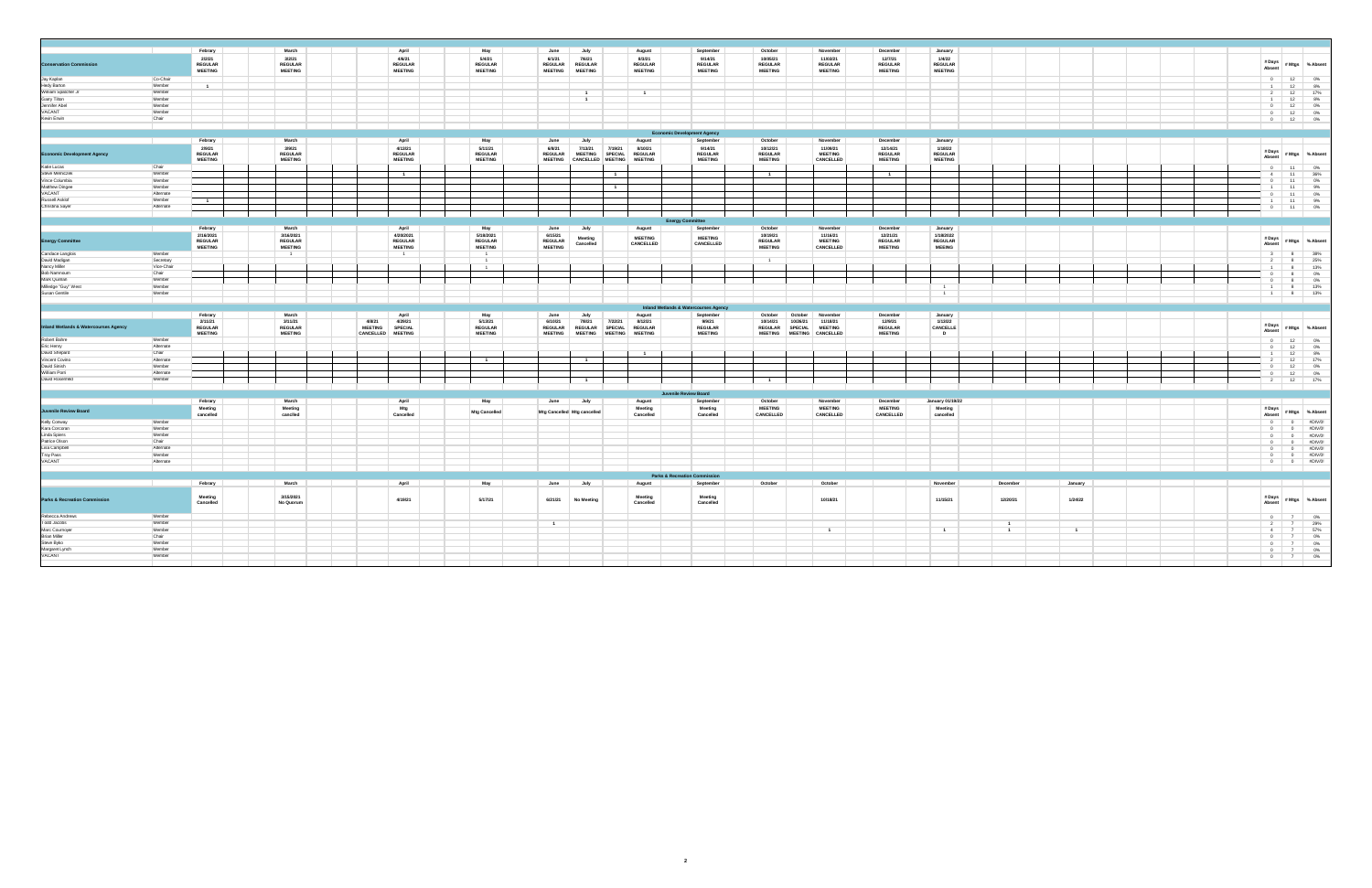|                                                                          |                                                                                                                                                                                                                                      | Febrary                                    | March                                      | April                                                                      | May                                         | June<br>July                                                                                  | August                                                        | September                                   | October                                      | November                                                        | December                                    | January                                    |                |                |                                                                                  |                   |
|--------------------------------------------------------------------------|--------------------------------------------------------------------------------------------------------------------------------------------------------------------------------------------------------------------------------------|--------------------------------------------|--------------------------------------------|----------------------------------------------------------------------------|---------------------------------------------|-----------------------------------------------------------------------------------------------|---------------------------------------------------------------|---------------------------------------------|----------------------------------------------|-----------------------------------------------------------------|---------------------------------------------|--------------------------------------------|----------------|----------------|----------------------------------------------------------------------------------|-------------------|
| <b>Conservation Commission</b>                                           |                                                                                                                                                                                                                                      | 2/2/21<br><b>REGULAR</b><br><b>MEETING</b> | 3/2/21<br><b>REGULAR</b><br><b>MEETING</b> | 4/6/21<br>REGULAR<br><b>MEETING</b>                                        | 5/4/21<br><b>REGULAR</b><br><b>MEETING</b>  | 6/1/21<br>7/6/21<br><b>REGULAR</b><br><b>REGULAR</b><br><b>MEETING</b><br><b>MEETING</b>      | 8/3/21<br><b>REGULAR</b><br><b>MEETING</b>                    | 9/14/21<br><b>REGULAR</b><br><b>MEETING</b> | 10/05/21<br><b>REGULAR</b><br><b>MEETING</b> | 11/02/21<br><b>REGULAR</b><br><b>MEETING</b>                    | 12/7/21<br><b>REGULAR</b><br><b>MEETING</b> | 1/4/22<br><b>REGULAR</b><br><b>MEETING</b> |                |                | # Days<br>Absent                                                                 | # Mtgs % Absent   |
| Jay Kaplan                                                               | Co-Chair                                                                                                                                                                                                                             |                                            |                                            |                                                                            |                                             |                                                                                               |                                                               |                                             |                                              |                                                                 |                                             |                                            |                |                | $\overline{\phantom{0}}$<br>12                                                   | $0\%$             |
| Hedy Barton<br>William Spatcher Jr                                       | Member                                                                                                                                                                                                                               | $\blacksquare$                             |                                            |                                                                            |                                             |                                                                                               |                                                               |                                             |                                              |                                                                 |                                             |                                            |                |                | 12<br>$\blacksquare$                                                             | $8\%$             |
|                                                                          | Member                                                                                                                                                                                                                               |                                            |                                            |                                                                            |                                             | $\overline{1}$                                                                                |                                                               |                                             |                                              |                                                                 |                                             |                                            |                |                | 12<br>$\overline{2}$                                                             | 17%               |
|                                                                          | Member                                                                                                                                                                                                                               |                                            |                                            |                                                                            |                                             | $\mathbf{1}$                                                                                  |                                                               |                                             |                                              |                                                                 |                                             |                                            |                |                | 1                                                                                |                   |
| Garry Tilton<br>Garry Tilton<br>Jennifer Abel<br>VACANT                  | Member                                                                                                                                                                                                                               |                                            |                                            |                                                                            |                                             |                                                                                               |                                                               |                                             |                                              |                                                                 |                                             |                                            |                |                | $\begin{array}{c} 12 \\ 12 \end{array}$<br>$\overline{0}$                        | $8\%$ 0%          |
|                                                                          | Member                                                                                                                                                                                                                               |                                            |                                            |                                                                            |                                             |                                                                                               |                                                               |                                             |                                              |                                                                 |                                             |                                            |                |                | 12<br>$\overline{0}$                                                             | $0\%$             |
| Kevin Erwin                                                              | Chair                                                                                                                                                                                                                                |                                            |                                            |                                                                            |                                             |                                                                                               |                                                               |                                             |                                              |                                                                 |                                             |                                            |                |                | 12<br>$\overline{\phantom{0}}$                                                   | 0%                |
|                                                                          |                                                                                                                                                                                                                                      |                                            |                                            |                                                                            |                                             |                                                                                               |                                                               | <b>Economic Development Agency</b>          |                                              |                                                                 |                                             |                                            |                |                |                                                                                  |                   |
|                                                                          | <b>The Contract of the Contract of the Contract of the Contract of the Contract of the Contract of the Contract of the Contract of the Contract of the Contract of the Contract of the Contract of the Contract of the Contract </b> | Febrary<br>2/9/21                          | March                                      | April                                                                      | May                                         | June<br>July                                                                                  | August                                                        | September<br>9/14/21                        | October                                      | November<br>11/09/21                                            | December<br>12/14/21                        | January<br>1/18/22                         |                |                |                                                                                  |                   |
| <b>Economic Development Agency</b>                                       |                                                                                                                                                                                                                                      | <b>REGULAR</b><br><b>MEETING</b>           | 3/9/21<br><b>REGULAR</b><br><b>MEETING</b> | 4/13/21<br><b>REGULAR</b><br><b>MEETING</b>                                | 5/11/21<br><b>REGULAR</b><br><b>MEETING</b> | 6/8/21<br>7/13/21<br><b>REGULAR</b><br>MEETING SPECIAL<br><b>MEETING</b><br>CANCELLED MEETING | 8/10/21<br>7/19/21<br><b>REGULAR</b><br><b>MEETING</b>        | <b>REGULAR</b><br><b>MEETING</b>            | 10/12/21<br><b>REGULAR</b><br><b>MEETING</b> | <b>MEETING</b><br>CANCELLED                                     | <b>REGULAR</b><br><b>MEETING</b>            | <b>REGULAR</b><br><b>MEETING</b>           |                |                | # Days<br>Absent                                                                 | # Mtgs % Absent   |
| Katie Lucas                                                              | Chair                                                                                                                                                                                                                                |                                            |                                            |                                                                            |                                             |                                                                                               |                                                               |                                             |                                              |                                                                 |                                             |                                            |                |                | $\,$ 0 $\,$<br>$-11$                                                             |                   |
| Steve Melniczek                                                          | Member                                                                                                                                                                                                                               |                                            |                                            |                                                                            |                                             |                                                                                               |                                                               |                                             |                                              |                                                                 |                                             |                                            |                |                | 11<br>$\overline{4}$                                                             | 0%<br>36%         |
| Vince Columbia                                                           | Member                                                                                                                                                                                                                               |                                            |                                            |                                                                            |                                             |                                                                                               |                                                               |                                             |                                              |                                                                 |                                             |                                            |                |                | 11                                                                               |                   |
| Matthew Dingee                                                           | Member                                                                                                                                                                                                                               |                                            |                                            |                                                                            |                                             |                                                                                               | $\overline{1}$                                                |                                             |                                              |                                                                 |                                             |                                            |                |                | 11                                                                               | $0\%$ 9%          |
| VACANT                                                                   | Alternate                                                                                                                                                                                                                            |                                            |                                            |                                                                            |                                             |                                                                                               |                                                               |                                             |                                              |                                                                 |                                             |                                            |                |                | $-11$<br>$\overline{0}$                                                          | $0\%$             |
| Russell Asklof                                                           | Member                                                                                                                                                                                                                               |                                            |                                            |                                                                            |                                             |                                                                                               |                                                               |                                             |                                              |                                                                 |                                             |                                            |                |                | 11                                                                               |                   |
| Christina Sayer                                                          | Alternate                                                                                                                                                                                                                            |                                            |                                            |                                                                            |                                             |                                                                                               |                                                               |                                             |                                              |                                                                 |                                             |                                            |                |                | $-11$<br>$\overline{0}$                                                          | $9\%$ 0%          |
|                                                                          |                                                                                                                                                                                                                                      |                                            |                                            |                                                                            |                                             |                                                                                               |                                                               |                                             |                                              |                                                                 |                                             |                                            |                |                |                                                                                  |                   |
|                                                                          |                                                                                                                                                                                                                                      | Febrary                                    | March                                      | April                                                                      | May                                         | June<br>July                                                                                  | August                                                        | <b>Energy Committee</b><br>September        | October                                      | November                                                        | December                                    | January                                    |                |                |                                                                                  |                   |
|                                                                          |                                                                                                                                                                                                                                      | 2/16/2021                                  | 3/16/2021                                  | 4/20/2021                                                                  | 5/18/2021                                   | 6/15/21                                                                                       | <b>MEETING</b>                                                | <b>MEETING</b>                              | 10/19/21                                     | 11/16/21                                                        | 12/21/21                                    | 1/18/2022                                  |                |                |                                                                                  |                   |
| <b>Energy Committee</b>                                                  |                                                                                                                                                                                                                                      | <b>REGULAR</b>                             | <b>REGULAR</b>                             | <b>REGULAR</b>                                                             | <b>REGULAR</b>                              | Meeting<br>Cancelled<br><b>REGULAR</b>                                                        | CANCELLED                                                     | CANCELLED                                   | <b>REGULAR</b>                               | <b>MEETING</b>                                                  | <b>REGULAR</b>                              | <b>REGULAR</b>                             |                |                | # Days<br>Absent                                                                 | #Mtgs %Absent     |
|                                                                          |                                                                                                                                                                                                                                      | <b>MEETING</b>                             | <b>MEETING</b>                             | <b>MEETING</b>                                                             | <b>MEETING</b>                              | <b>MEETING</b>                                                                                |                                                               |                                             | <b>MEETING</b>                               | CANCELLED                                                       | <b>MEETING</b>                              | <b>MEEING</b>                              |                |                |                                                                                  |                   |
| Candace Langlois<br>David Madigan                                        | Member<br>Secretary                                                                                                                                                                                                                  |                                            | $-1$                                       | $-1$                                                                       | $-1$<br>$\overline{1}$                      |                                                                                               |                                                               |                                             |                                              |                                                                 |                                             |                                            |                |                | 3 <sup>1</sup><br>8                                                              | $38\%$ 25%        |
|                                                                          | Vice-Chair                                                                                                                                                                                                                           |                                            |                                            |                                                                            | $\overline{1}$                              |                                                                                               |                                                               |                                             | $\overline{1}$                               |                                                                 |                                             |                                            |                |                | $\overline{2}$<br>8                                                              |                   |
| Nancy Miller<br>Bob Namnoum                                              | Chair                                                                                                                                                                                                                                |                                            |                                            |                                                                            |                                             |                                                                                               |                                                               |                                             |                                              |                                                                 |                                             |                                            |                |                | $1 -$<br>8                                                                       | 13%               |
|                                                                          | Member                                                                                                                                                                                                                               |                                            |                                            |                                                                            |                                             |                                                                                               |                                                               |                                             |                                              |                                                                 |                                             |                                            |                |                | $\overline{0}$<br>8<br>$\overline{0}$<br>8                                       | $0\%$<br>$0\%$    |
| Mark Quinliam<br>Mark Quinlan<br>Milledge "Guy" West<br>Susan Gentile    | Member                                                                                                                                                                                                                               |                                            |                                            |                                                                            |                                             |                                                                                               |                                                               |                                             |                                              |                                                                 |                                             |                                            |                |                | $-1$<br>8                                                                        | 13%               |
|                                                                          | Member                                                                                                                                                                                                                               |                                            |                                            |                                                                            |                                             |                                                                                               |                                                               |                                             |                                              |                                                                 |                                             | $\overline{1}$                             |                |                | $-1$<br>8 <sub>1</sub>                                                           | 13%               |
|                                                                          |                                                                                                                                                                                                                                      |                                            |                                            |                                                                            |                                             |                                                                                               |                                                               |                                             |                                              |                                                                 |                                             |                                            |                |                |                                                                                  |                   |
|                                                                          |                                                                                                                                                                                                                                      |                                            |                                            |                                                                            |                                             |                                                                                               |                                                               | Inland Wetlands & Watercourses Agency       |                                              |                                                                 |                                             |                                            |                |                |                                                                                  |                   |
|                                                                          |                                                                                                                                                                                                                                      | Febrary<br>2/11/21                         | March<br>3/11/21                           | April<br>4/8/21                                                            | May<br>5/13/21                              | July<br>June<br>7/8/21                                                                        | August<br>7/22/21                                             | September                                   | October<br>10/14/21                          | October November<br>10/26/21<br>11/18/21                        | December<br>12/9/21                         | January<br>1/13/22                         |                |                |                                                                                  |                   |
| <b>Inland Wetlands &amp; Watercourses Agency</b>                         |                                                                                                                                                                                                                                      | REGULAR<br><b>MEETING</b>                  | <b>REGULAR</b><br><b>MEETING</b>           | 4/29/21<br><b>MEETING</b><br><b>SPECIAL</b><br>CANCELLED<br><b>MEETING</b> | <b>REGULAR</b><br><b>MEETING</b>            | 6/10/21<br><b>REGULAR</b><br>REGULAR SPECIAL<br>MEETING<br><b>MEETING</b>                     | 8/12/21<br><b>REGULAR</b><br><b>MEETING</b><br><b>MEETING</b> | 9/9/21<br><b>REGULAR</b><br><b>MEETING</b>  | <b>REGULAR</b><br><b>MEETING</b>             | <b>SPECIAL</b><br><b>MEETING</b><br>CANCELLED<br><b>MEETING</b> | <b>REGULAR</b><br><b>MEETING</b>            | CANCELLE<br>$\mathbf{D}$                   |                |                | # Days<br>Absent                                                                 | # Mtgs   % Absent |
| Robert Bahre                                                             | Member                                                                                                                                                                                                                               |                                            |                                            |                                                                            |                                             |                                                                                               |                                                               |                                             |                                              |                                                                 |                                             |                                            |                |                | $\overline{0}$<br>12                                                             | $0\%$             |
| Eric Henry                                                               | Alternate                                                                                                                                                                                                                            |                                            |                                            |                                                                            |                                             |                                                                                               |                                                               |                                             |                                              |                                                                 |                                             |                                            |                |                | $\overline{\phantom{0}}$<br>12                                                   | $0\%$             |
| David Shepard                                                            | Chair                                                                                                                                                                                                                                |                                            |                                            |                                                                            |                                             |                                                                                               | $\blacksquare$                                                |                                             |                                              |                                                                 |                                             |                                            |                |                | 12<br>$-1$                                                                       | $8\%$             |
| Vincent Covino                                                           | Alternate                                                                                                                                                                                                                            |                                            |                                            |                                                                            | $\overline{1}$                              | $\overline{1}$                                                                                |                                                               |                                             |                                              |                                                                 |                                             |                                            |                |                | 12<br>$\overline{2}$                                                             | 17%               |
| David Sinish                                                             | Member                                                                                                                                                                                                                               |                                            |                                            |                                                                            |                                             |                                                                                               |                                                               |                                             |                                              |                                                                 |                                             |                                            |                |                | 12<br>$\overline{0}$                                                             | $0\%$             |
| William Porri                                                            | Alternate                                                                                                                                                                                                                            |                                            |                                            |                                                                            |                                             |                                                                                               |                                                               |                                             |                                              |                                                                 |                                             |                                            |                |                |                                                                                  |                   |
| David Rosenfeld                                                          | Member                                                                                                                                                                                                                               |                                            |                                            |                                                                            |                                             | 1                                                                                             |                                                               |                                             |                                              |                                                                 |                                             |                                            |                |                | $\begin{array}{c} 12 \\ 12 \end{array}$<br>$\begin{array}{c} 0 \\ 2 \end{array}$ | 0%<br>17%         |
|                                                                          |                                                                                                                                                                                                                                      |                                            |                                            |                                                                            |                                             |                                                                                               |                                                               | Juvenile Review Board                       |                                              |                                                                 |                                             |                                            |                |                |                                                                                  |                   |
|                                                                          |                                                                                                                                                                                                                                      | Febrary                                    | March                                      | April                                                                      | May                                         | June<br>July                                                                                  | August                                                        | September                                   | October                                      | November                                                        | December                                    | January 01/19/22                           |                |                |                                                                                  |                   |
| Juvenile Review Board                                                    |                                                                                                                                                                                                                                      | Meeting<br>cancelled                       | Meeting<br>canclled                        | Mtg<br>Cancelled                                                           | Mtg Cancelled                               | Mtg Cancelled Mtg cancelled                                                                   | Meeting<br>Cancelled                                          | Meeting<br>Cancelled                        | <b>MEETING</b><br>CANCELLED                  | <b>MEETING</b><br>CANCELLED                                     | <b>MEETING</b><br>CANCELLED                 | Meeting<br>cancelled                       |                |                | # Days<br>Absent                                                                 | # Mtgs % Absent   |
| Kelly Conway                                                             | Member                                                                                                                                                                                                                               |                                            |                                            |                                                                            |                                             |                                                                                               |                                                               |                                             |                                              |                                                                 |                                             |                                            |                |                | $\overline{0}$<br>$\overline{0}$                                                 | #DIV/0!           |
| Kara Corcoran                                                            | Member                                                                                                                                                                                                                               |                                            |                                            |                                                                            |                                             |                                                                                               |                                                               |                                             |                                              |                                                                 |                                             |                                            |                |                | $\overline{0}$                                                                   | #DIV/0!           |
| Linda Spiers                                                             | Member                                                                                                                                                                                                                               |                                            |                                            |                                                                            |                                             |                                                                                               |                                                               |                                             |                                              |                                                                 |                                             |                                            |                |                | $\bullet$<br>$\overline{0}$<br>$\overline{0}$                                    | #DIV/0!           |
| Patrice Olson                                                            | Chair                                                                                                                                                                                                                                |                                            |                                            |                                                                            |                                             |                                                                                               |                                                               |                                             |                                              |                                                                 |                                             |                                            |                |                | 0<br>$\overline{\phantom{0}}$                                                    | #DIV/0!           |
| Lisa Campbell                                                            | Alternate                                                                                                                                                                                                                            |                                            |                                            |                                                                            |                                             |                                                                                               |                                                               |                                             |                                              |                                                                 |                                             |                                            |                |                |                                                                                  | #DIV/0!           |
| Troy Pass                                                                | Member                                                                                                                                                                                                                               |                                            |                                            |                                                                            |                                             |                                                                                               |                                                               |                                             |                                              |                                                                 |                                             |                                            |                |                | $0$ 0<br>$\overline{0}$<br>$\overline{0}$                                        | #DIV/0!           |
| VACANT                                                                   | Alternate                                                                                                                                                                                                                            |                                            |                                            |                                                                            |                                             |                                                                                               |                                                               |                                             |                                              |                                                                 |                                             |                                            |                |                | $\overline{0}$<br>$\overline{\phantom{0}}$                                       | #DIV/0!           |
|                                                                          |                                                                                                                                                                                                                                      |                                            |                                            |                                                                            |                                             |                                                                                               |                                                               |                                             |                                              |                                                                 |                                             |                                            |                |                |                                                                                  |                   |
|                                                                          |                                                                                                                                                                                                                                      |                                            |                                            |                                                                            |                                             |                                                                                               |                                                               | <b>Parks &amp; Recreation Commission</b>    |                                              |                                                                 |                                             |                                            |                |                |                                                                                  |                   |
|                                                                          |                                                                                                                                                                                                                                      | Febrary                                    | March                                      | April                                                                      | May                                         | June<br>July                                                                                  | August                                                        | September                                   | October                                      | October                                                         |                                             | November                                   | December       | January        |                                                                                  |                   |
| <b>Parks &amp; Recreation Commission</b>                                 |                                                                                                                                                                                                                                      | Meeting<br>Cancelled                       | 3/15/2021<br>No Quorum                     | 4/19/21                                                                    | 5/17/21                                     | 6/21/21<br><b>No Meeting</b>                                                                  | Meeting<br>Cancelled                                          | Meeting<br>Cancelled                        |                                              | 10/18/21                                                        |                                             | 11/15/21                                   | 12/20/21       | 1/24/22        | # Days<br>Absent                                                                 | #Mtgs %Absent     |
| Rebecca Andrews                                                          | Member                                                                                                                                                                                                                               |                                            |                                            |                                                                            |                                             |                                                                                               |                                                               |                                             |                                              |                                                                 |                                             |                                            |                |                | $0 \mid 7 \mid$                                                                  | $0\%$             |
| <b>Todd Jacobs</b>                                                       | Member                                                                                                                                                                                                                               |                                            |                                            |                                                                            |                                             | $\overline{1}$                                                                                |                                                               |                                             |                                              |                                                                 |                                             |                                            | $\overline{1}$ |                | 7<br>$\overline{2}$                                                              | 29%               |
|                                                                          | Member                                                                                                                                                                                                                               |                                            |                                            |                                                                            |                                             |                                                                                               |                                                               |                                             |                                              | $\mathbf{1}$                                                    |                                             | $\overline{1}$                             | $\overline{1}$ | $\overline{1}$ | $7 -$<br>4                                                                       | 57%               |
|                                                                          | Chair                                                                                                                                                                                                                                |                                            |                                            |                                                                            |                                             |                                                                                               |                                                               |                                             |                                              |                                                                 |                                             |                                            |                |                | $\overline{0}$                                                                   | $0\%$             |
|                                                                          | Member                                                                                                                                                                                                                               |                                            |                                            |                                                                            |                                             |                                                                                               |                                                               |                                             |                                              |                                                                 |                                             |                                            |                |                | $\overline{7}$<br>$\overline{0}$                                                 | $0\%$             |
|                                                                          | Member                                                                                                                                                                                                                               |                                            |                                            |                                                                            |                                             |                                                                                               |                                                               |                                             |                                              |                                                                 |                                             |                                            |                |                | $0$ $7$                                                                          | $0\%$             |
|                                                                          |                                                                                                                                                                                                                                      |                                            |                                            |                                                                            |                                             |                                                                                               |                                                               |                                             |                                              |                                                                 |                                             |                                            |                |                |                                                                                  |                   |
| Marc Cournoyer<br>Brian Miller<br>Steve Byko<br>Margaret Lynch<br>VACANT | Member                                                                                                                                                                                                                               |                                            |                                            |                                                                            |                                             |                                                                                               |                                                               |                                             |                                              |                                                                 |                                             |                                            |                |                | $0 \t 7 \t 0\%$                                                                  |                   |

**2**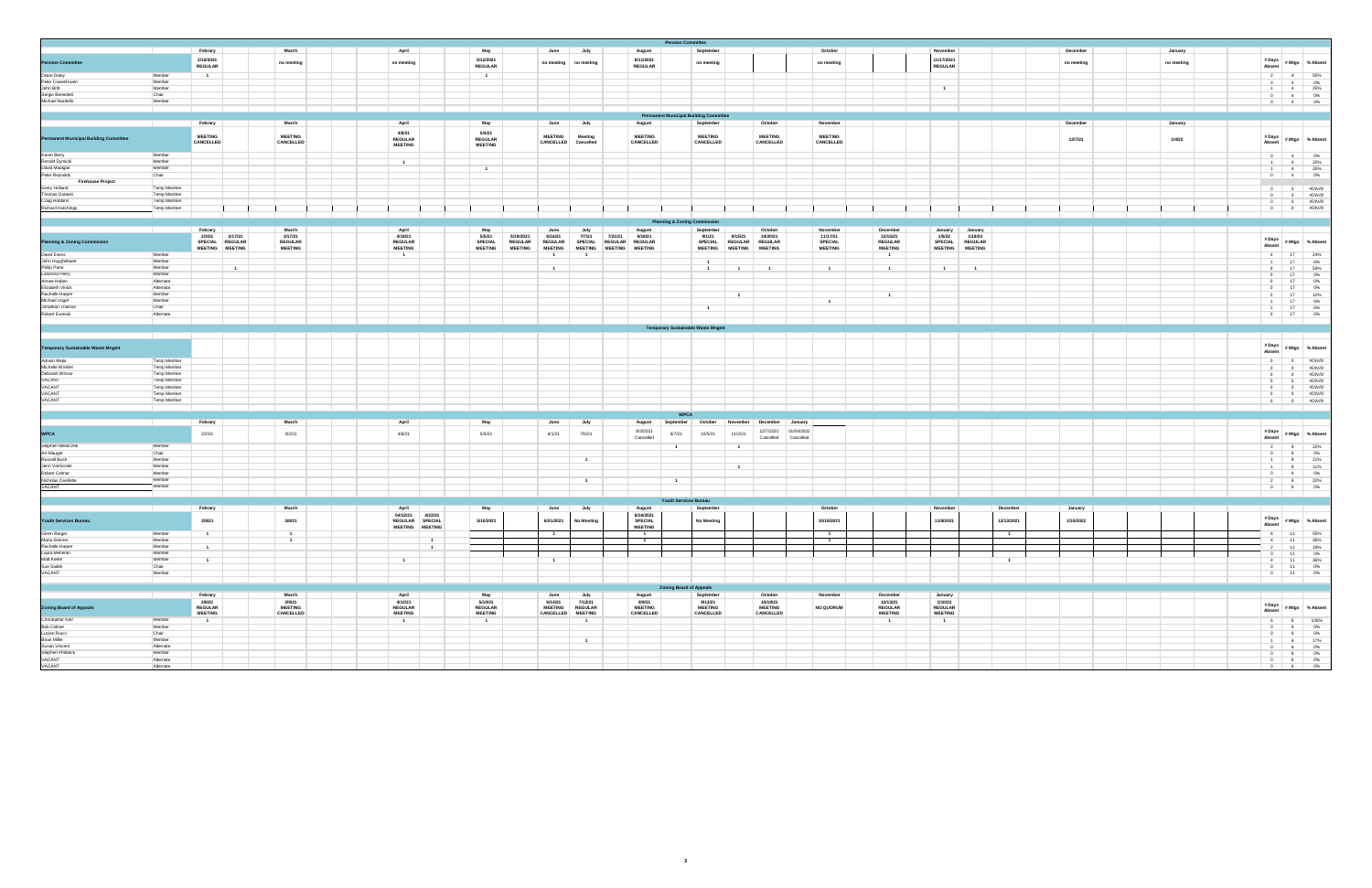|                                                                                                                                                  |                                   |                             |                |                             |                                            |                                            |                |                             |                            |                                  | <b>Pension Committee</b>                      |                             |                                  |                         |                             |                            |                              |                    |                |            |  |            |                                                                                                                                                           |                                                                                                                                                                                                                     |
|--------------------------------------------------------------------------------------------------------------------------------------------------|-----------------------------------|-----------------------------|----------------|-----------------------------|--------------------------------------------|--------------------------------------------|----------------|-----------------------------|----------------------------|----------------------------------|-----------------------------------------------|-----------------------------|----------------------------------|-------------------------|-----------------------------|----------------------------|------------------------------|--------------------|----------------|------------|--|------------|-----------------------------------------------------------------------------------------------------------------------------------------------------------|---------------------------------------------------------------------------------------------------------------------------------------------------------------------------------------------------------------------|
|                                                                                                                                                  |                                   | Febrary                     |                | March                       | April                                      | May                                        |                | June                        | July                       | August                           |                                               | September                   |                                  |                         | October                     |                            | November                     |                    |                | December   |  | January    |                                                                                                                                                           |                                                                                                                                                                                                                     |
| <b>Pension Committee<br/>Diane Daley<br/>Peter Cowenhoven</b>                                                                                    |                                   | 2/10/2021<br><b>REGULAR</b> |                | no meeting                  | no meeting                                 | 5/12/2021<br><b>REGULAR</b>                |                | no meeting                  | no meeting                 | 8/11/2021<br><b>REGULAR</b>      |                                               | no meeting                  |                                  |                         | no meeting                  |                            | 11/17/2021<br><b>REGULAR</b> |                    |                | no meeting |  | no meeting | # Days<br>Absent                                                                                                                                          | # Mtgs % Absent                                                                                                                                                                                                     |
|                                                                                                                                                  | Member                            |                             |                |                             |                                            |                                            |                |                             |                            |                                  |                                               |                             |                                  |                         |                             |                            |                              |                    |                |            |  |            |                                                                                                                                                           |                                                                                                                                                                                                                     |
|                                                                                                                                                  | Member                            |                             |                |                             |                                            |                                            |                |                             |                            |                                  |                                               |                             |                                  |                         |                             |                            |                              |                    |                |            |  |            |                                                                                                                                                           | $\begin{array}{c cc} 2 & 4 & 50\% \\ 0 & 4 & 0\% \\ 1 & 4 & 25\% \\ 0 & 4 & 0\% \\ 0 & 4 & 0\% \\ \end{array}$                                                                                                      |
|                                                                                                                                                  | Member<br>Chair                   |                             |                |                             |                                            |                                            |                |                             |                            |                                  |                                               |                             |                                  |                         |                             |                            | $\overline{1}$               |                    |                |            |  |            |                                                                                                                                                           |                                                                                                                                                                                                                     |
| John Britt<br>Sergio Benedetti<br>Michael Nardello                                                                                               | Member                            |                             |                |                             |                                            |                                            |                |                             |                            |                                  |                                               |                             |                                  |                         |                             |                            |                              |                    |                |            |  |            |                                                                                                                                                           |                                                                                                                                                                                                                     |
|                                                                                                                                                  |                                   |                             |                |                             |                                            |                                            |                |                             |                            |                                  |                                               |                             |                                  |                         |                             |                            |                              |                    |                |            |  |            |                                                                                                                                                           |                                                                                                                                                                                                                     |
|                                                                                                                                                  |                                   |                             |                |                             |                                            |                                            |                |                             |                            |                                  | <b>Permanent Municipal Building Committee</b> |                             |                                  |                         |                             |                            |                              |                    |                |            |  |            |                                                                                                                                                           |                                                                                                                                                                                                                     |
|                                                                                                                                                  |                                   | Febrary                     |                | March                       | April                                      | May                                        |                | June                        | July                       | August                           |                                               | September                   | October                          |                         | November                    |                            |                              |                    |                | December   |  | January    |                                                                                                                                                           |                                                                                                                                                                                                                     |
| Permanent Municipal Building Committee                                                                                                           |                                   | <b>MEETING</b><br>CANCELLED |                | <b>MEETING</b><br>CANCELLED | 4/6/21<br><b>REGULAR</b><br><b>MEETING</b> | 5/4/21<br><b>REGULAR</b><br><b>MEETING</b> |                | <b>MEETING</b><br>CANCELLED | Meeting<br>Cancelled       | <b>MEETING</b><br>CANCELLED      |                                               | <b>MEETING</b><br>CANCELLED | <b>MEETING</b>                   | CANCELLED               | <b>MEETING</b><br>CANCELLED |                            |                              |                    |                | 12/7/21    |  | 1/4/22     | # Days<br>Absent                                                                                                                                          | #Mtgs %Absent                                                                                                                                                                                                       |
|                                                                                                                                                  | Member                            |                             |                |                             |                                            |                                            |                |                             |                            |                                  |                                               |                             |                                  |                         |                             |                            |                              |                    |                |            |  |            |                                                                                                                                                           |                                                                                                                                                                                                                     |
| Karen Berry<br>Ronald Dymicki<br>David Madigan<br>Peter Reynolds                                                                                 | Member                            |                             |                |                             | $\overline{1}$                             |                                            |                |                             |                            |                                  |                                               |                             |                                  |                         |                             |                            |                              |                    |                |            |  |            | $-1$ $-4$                                                                                                                                                 | 25%                                                                                                                                                                                                                 |
|                                                                                                                                                  | Member<br>Chair                   |                             |                |                             |                                            | $\overline{1}$                             |                |                             |                            |                                  |                                               |                             |                                  |                         |                             |                            |                              |                    |                |            |  |            |                                                                                                                                                           | $\begin{array}{ c c c c c }\hline &\textbf{1} & \textbf{4} & \textbf{25\%} \\ \textbf{0} & \textbf{4} & \textbf{0\%} \\ \hline \end{array}$                                                                         |
| <b>Firehouse Project</b>                                                                                                                         |                                   |                             |                |                             |                                            |                                            |                |                             |                            |                                  |                                               |                             |                                  |                         |                             |                            |                              |                    |                |            |  |            |                                                                                                                                                           |                                                                                                                                                                                                                     |
| Gerry Holland<br>Thomas Gotaski                                                                                                                  | <b>Temp Member</b>                |                             |                |                             |                                            |                                            |                |                             |                            |                                  |                                               |                             |                                  |                         |                             |                            |                              |                    |                |            |  |            |                                                                                                                                                           |                                                                                                                                                                                                                     |
| Craig Robbins                                                                                                                                    | <b>Temp Member</b><br>Temp Member |                             |                |                             |                                            |                                            |                |                             |                            |                                  |                                               |                             |                                  |                         |                             |                            |                              |                    |                |            |  |            |                                                                                                                                                           |                                                                                                                                                                                                                     |
| Richard Hutchings                                                                                                                                | <b>Temp Member</b>                |                             |                |                             |                                            |                                            |                |                             |                            |                                  |                                               |                             |                                  |                         |                             |                            |                              |                    |                |            |  |            |                                                                                                                                                           | $\begin{array}{ c c c c } \hline & 0 & 0 & \# \textnormal{DIV}/0! \\ \hline 0 & 0 & \# \textnormal{DIV}/0! \\ \hline 0 & 0 & \# \textnormal{DIV}/0! \\ \hline 0 & 0 & \# \textnormal{DIV}/0! \\ \hline \end{array}$ |
|                                                                                                                                                  |                                   |                             |                |                             |                                            |                                            |                |                             |                            |                                  |                                               |                             |                                  |                         |                             |                            |                              |                    |                |            |  |            |                                                                                                                                                           |                                                                                                                                                                                                                     |
|                                                                                                                                                  |                                   |                             |                |                             |                                            |                                            |                |                             |                            |                                  | <b>Planning &amp; Zoning Commission</b>       |                             |                                  |                         |                             |                            |                              |                    |                |            |  |            |                                                                                                                                                           |                                                                                                                                                                                                                     |
|                                                                                                                                                  |                                   | Febrary<br>2/3/21           | 2/17/21        | March<br>3/17/21            | April<br>4/19/21                           | May<br>5/5/21                              | 5/19/2021      | June<br>6/16/21             | July<br>7/7/21             | August<br>9/18/21<br>7/21/21     |                                               | September<br>9/1/21         | October<br>9/15/21<br>10/20/21   |                         | November<br>11/17/21        | December<br>12/15/21       | January<br>1/5/22            | January<br>1/19/22 |                |            |  |            | <b>Contract Contract</b>                                                                                                                                  |                                                                                                                                                                                                                     |
| <b>Planning &amp; Zoning Commission</b><br>David Evens<br>John Huyghebaert<br>Philip Pane<br>Lizalseth Vinick<br>Aimee Hoben<br>Elizabeth Vinick |                                   | SPECIAL REGULAR             |                | <b>REGULAR</b>              | <b>REGULAR</b>                             | <b>SPECIAL</b>                             | <b>REGULAR</b> | <b>REGULAR</b>              |                            | SPECIAL REGULAR REGULAR          |                                               | <b>SPECIAL</b>              | REGULAR REGULAR                  |                         | <b>SPECIAL</b><br>MEETING   | <b>REGULAR</b>             | <b>SPECIAL</b>               | REGULAR            |                |            |  |            | $#$ Days<br>Absent                                                                                                                                        | #Mtgs %Absent                                                                                                                                                                                                       |
|                                                                                                                                                  | Member                            | MEETING MEETING             |                | <b>MEETING</b>              | <b>MEETING</b>                             | <b>MEETING</b>                             | <b>MEETING</b> | <b>MEETING</b>              | $\overline{1}$             | MEETING MEETING MEETING          |                                               | MEETING MEETING             | <b>MEETING</b>                   |                         |                             | <b>MEETING</b>             | <b>MEETING</b>               | <b>MEETING</b>     |                |            |  |            | 17<br>$-4$                                                                                                                                                | 24%                                                                                                                                                                                                                 |
|                                                                                                                                                  | Member                            |                             |                |                             | $\overline{1}$                             |                                            |                | $\blacksquare$              |                            |                                  |                                               |                             |                                  |                         |                             | $\overline{1}$             |                              |                    |                |            |  |            | 17<br>$\vert$ 1 $\vert$                                                                                                                                   |                                                                                                                                                                                                                     |
|                                                                                                                                                  | Member                            |                             | $\overline{1}$ |                             |                                            |                                            |                | $-1$                        |                            |                                  |                                               | $-1$                        | $\blacksquare$<br>$\blacksquare$ |                         | $-1$                        | $\blacksquare$             | $\blacksquare$               | $-1$               |                |            |  |            | 17<br>9                                                                                                                                                   | 6%<br>53%<br>0%                                                                                                                                                                                                     |
|                                                                                                                                                  | Member                            |                             |                |                             |                                            |                                            |                |                             |                            |                                  |                                               |                             |                                  |                         |                             |                            |                              |                    |                |            |  |            | $0 \t 17$                                                                                                                                                 |                                                                                                                                                                                                                     |
|                                                                                                                                                  | Alternate<br>Alternate            |                             |                |                             |                                            |                                            |                |                             |                            |                                  |                                               |                             |                                  |                         |                             |                            |                              |                    |                |            |  |            | $-17$<br>$\overline{\phantom{0}}$<br>17                                                                                                                   | $0\%$                                                                                                                                                                                                               |
| Rachelle Harper                                                                                                                                  | Member                            |                             |                |                             |                                            |                                            |                |                             |                            |                                  |                                               |                             | $\overline{1}$                   |                         |                             | $\overline{1}$             |                              |                    |                |            |  |            | $\overline{0}$<br>$\overline{2}$                                                                                                                          | $0\%$                                                                                                                                                                                                               |
| Michael Vogel<br>Jonathan Thiesse                                                                                                                | Member                            |                             |                |                             |                                            |                                            |                |                             |                            |                                  |                                               |                             |                                  |                         | $\mathbf{1}$                |                            |                              |                    |                |            |  |            | $\overline{1}$                                                                                                                                            | $\begin{array}{ c c c }\n 17 & 12\% \\  \hline\n 17 & 6\% \\  \end{array}$                                                                                                                                          |
|                                                                                                                                                  | Chair                             |                             |                |                             |                                            |                                            |                |                             |                            |                                  |                                               | $\mathbf{1}$                |                                  |                         |                             |                            |                              |                    |                |            |  |            | $-1$                                                                                                                                                      | $\begin{array}{ c c c }\n 17 & 6\% \\  \hline\n 17 & 0\% \\  \end{array}$                                                                                                                                           |
| Robert Evenski                                                                                                                                   | Alternate                         |                             |                |                             |                                            |                                            |                |                             |                            |                                  |                                               |                             |                                  |                         |                             |                            |                              |                    |                |            |  |            | $\sim$ 0                                                                                                                                                  |                                                                                                                                                                                                                     |
|                                                                                                                                                  |                                   |                             |                |                             |                                            |                                            |                |                             |                            |                                  | <b>Temporary Sustainable Waste Mngmt</b>      |                             |                                  |                         |                             |                            |                              |                    |                |            |  |            |                                                                                                                                                           |                                                                                                                                                                                                                     |
|                                                                                                                                                  |                                   |                             |                |                             |                                            |                                            |                |                             |                            |                                  |                                               |                             |                                  |                         |                             |                            |                              |                    |                |            |  |            |                                                                                                                                                           |                                                                                                                                                                                                                     |
| <b>Temporary Sustainable Waste Mngmt</b>                                                                                                         |                                   |                             |                |                             |                                            |                                            |                |                             |                            |                                  |                                               |                             |                                  |                         |                             |                            |                              |                    |                |            |  |            | #Days                                                                                                                                                     | #Mtgs % Absent                                                                                                                                                                                                      |
|                                                                                                                                                  |                                   |                             |                |                             |                                            |                                            |                |                             |                            |                                  |                                               |                             |                                  |                         |                             |                            |                              |                    |                |            |  |            | Absent                                                                                                                                                    |                                                                                                                                                                                                                     |
|                                                                                                                                                  | Temp Member                       |                             |                |                             |                                            |                                            |                |                             |                            |                                  |                                               |                             |                                  |                         |                             |                            |                              |                    |                |            |  |            | $\overline{0}$<br>$\overline{\phantom{0}}$                                                                                                                | #DIV/0!                                                                                                                                                                                                             |
| Adrwin Mejia<br>Michelle Winkler<br>Deborah Winsor<br>VACANT                                                                                     | Temp Member<br>Temp Member        |                             |                |                             |                                            |                                            |                |                             |                            |                                  |                                               |                             |                                  |                         |                             |                            |                              |                    |                |            |  |            | $\bullet$<br>$\overline{\phantom{0}}$                                                                                                                     | 0 #DIV/0!<br>#DIV/0!                                                                                                                                                                                                |
|                                                                                                                                                  | Temp Member                       |                             |                |                             |                                            |                                            |                |                             |                            |                                  |                                               |                             |                                  |                         |                             |                            |                              |                    |                |            |  |            | $\sim$ 0<br>$\bullet$<br>$\bullet$                                                                                                                        | #DIV/0!                                                                                                                                                                                                             |
| VACANT                                                                                                                                           | Temp Member                       |                             |                |                             |                                            |                                            |                |                             |                            |                                  |                                               |                             |                                  |                         |                             |                            |                              |                    |                |            |  |            | $0$ 0                                                                                                                                                     | #DIV/0!                                                                                                                                                                                                             |
| VACANT<br>VACANT                                                                                                                                 | Temp Member                       |                             |                |                             |                                            |                                            |                |                             |                            |                                  |                                               |                             |                                  |                         |                             |                            |                              |                    |                |            |  |            | $0$ 0                                                                                                                                                     | #DIV/0!                                                                                                                                                                                                             |
|                                                                                                                                                  |                                   |                             |                |                             |                                            |                                            |                |                             |                            |                                  |                                               |                             |                                  |                         |                             |                            |                              |                    |                |            |  |            |                                                                                                                                                           | 0 0 #DIV/0!                                                                                                                                                                                                         |
|                                                                                                                                                  | Temp Member                       |                             |                |                             |                                            |                                            |                |                             |                            |                                  |                                               |                             |                                  |                         |                             |                            |                              |                    |                |            |  |            |                                                                                                                                                           |                                                                                                                                                                                                                     |
|                                                                                                                                                  |                                   |                             |                |                             |                                            |                                            |                |                             |                            |                                  | <b>WPCA</b>                                   |                             |                                  |                         |                             |                            |                              |                    |                |            |  |            |                                                                                                                                                           |                                                                                                                                                                                                                     |
|                                                                                                                                                  |                                   | Febrary                     |                | March                       | April                                      | May                                        |                | June                        | July                       | August                           | September                                     | October                     | November                         | December<br>January     |                             |                            |                              |                    |                |            |  |            |                                                                                                                                                           |                                                                                                                                                                                                                     |
|                                                                                                                                                  |                                   |                             |                |                             |                                            |                                            |                |                             |                            | 8/3/2021                         |                                               |                             |                                  | 12/7/2021<br>01/04/2022 |                             |                            |                              |                    |                |            |  |            |                                                                                                                                                           |                                                                                                                                                                                                                     |
|                                                                                                                                                  |                                   | 2/2/21                      |                | 3/2/21                      | 4/6/21                                     | 5/4/21                                     |                | 6/1/21                      | 7/6/21                     | Cancelled                        | 9/7/21                                        | 10/5/21                     | 11/2/21                          | Cancelled<br>Cancelled  |                             |                            |                              |                    |                |            |  |            |                                                                                                                                                           | #Days<br>Absent #Mtgs %Absent                                                                                                                                                                                       |
|                                                                                                                                                  | Member                            |                             |                |                             |                                            |                                            |                |                             |                            |                                  | $\overline{1}$                                |                             | $\overline{1}$                   |                         |                             |                            |                              |                    |                |            |  |            | $\overline{\phantom{0}}$ 2<br>9                                                                                                                           |                                                                                                                                                                                                                     |
|                                                                                                                                                  | Chair                             |                             |                |                             |                                            |                                            |                |                             |                            |                                  |                                               |                             |                                  |                         |                             |                            |                              |                    |                |            |  |            | $\overline{0}$<br>9                                                                                                                                       |                                                                                                                                                                                                                     |
|                                                                                                                                                  | Member<br>Member                  |                             |                |                             |                                            |                                            |                |                             | $\blacksquare$             |                                  |                                               |                             |                                  |                         |                             |                            |                              |                    |                |            |  |            | $-1$<br>9<br>$\sim$ 1<br>9                                                                                                                                |                                                                                                                                                                                                                     |
|                                                                                                                                                  | Member                            |                             |                |                             |                                            |                                            |                |                             |                            |                                  |                                               |                             | $\blacksquare$                   |                         |                             |                            |                              |                    |                |            |  |            | $\overline{0}$<br>9                                                                                                                                       | $22\%$<br>0%<br>11%<br>11%<br>0%                                                                                                                                                                                    |
|                                                                                                                                                  | Member                            |                             |                |                             |                                            |                                            |                |                             | $\blacksquare$             |                                  | $\blacksquare$                                |                             |                                  |                         |                             |                            |                              |                    |                |            |  |            | $2 \t 9$                                                                                                                                                  |                                                                                                                                                                                                                     |
| <b>WPCA</b><br>Stephen Melniczek<br>Art Mauger<br>Russell Bush<br>Jemn VanScoter<br>Robert Celmer<br>Nicholas Quellette<br>VACANT                | Member                            |                             |                |                             |                                            |                                            |                |                             |                            |                                  |                                               |                             |                                  |                         |                             |                            |                              |                    |                |            |  |            | $0 \quad 9$                                                                                                                                               | $\frac{22\%}{0\%}$                                                                                                                                                                                                  |
|                                                                                                                                                  |                                   |                             |                |                             |                                            |                                            |                |                             |                            |                                  | <b>Youth Services Bureau</b>                  |                             |                                  |                         |                             |                            |                              |                    |                |            |  |            |                                                                                                                                                           |                                                                                                                                                                                                                     |
|                                                                                                                                                  |                                   | Febrary                     |                | March                       | April                                      | May                                        |                | June                        | July                       | August                           |                                               | September                   |                                  |                         | October                     |                            | November                     |                    | December       | January    |  |            |                                                                                                                                                           |                                                                                                                                                                                                                     |
|                                                                                                                                                  |                                   |                             |                |                             | 04/12/21<br>4/22/21                        |                                            |                |                             |                            | 8/16/2021                        |                                               |                             |                                  |                         |                             |                            |                              |                    |                |            |  |            |                                                                                                                                                           |                                                                                                                                                                                                                     |
| Youth Services Bureau                                                                                                                            |                                   | 2/8/21                      |                | 3/8/21                      | REGULAR SPECIAL<br>MEETING MEETING         | 5/10/2021                                  |                | 6/21/2021                   | No Meeting                 | <b>SPECIAL</b><br><b>MEETING</b> |                                               | <b>No Meeting</b>           |                                  |                         | 10/18/2021                  |                            | 11/8/2021                    |                    | 12/13/2021     | 1/10/2022  |  |            | # Days<br>Absent                                                                                                                                          | #Mtgs % Absent                                                                                                                                                                                                      |
|                                                                                                                                                  | Member                            | $\blacksquare$              |                | $\overline{1}$              |                                            |                                            |                | $\blacksquare$              |                            | $-1$                             |                                               |                             |                                  |                         | $\overline{1}$              |                            |                              |                    | $-1$           |            |  |            |                                                                                                                                                           |                                                                                                                                                                                                                     |
| Glenn Barger<br>Maria Skinner                                                                                                                    | Member<br>Member                  |                             |                | $\overline{1}$              | $\blacksquare$                             |                                            |                |                             |                            | $\blacksquare$                   |                                               |                             |                                  |                         | $\blacksquare$              |                            |                              |                    |                |            |  |            |                                                                                                                                                           | $\begin{array}{ c c c c c }\n\hline\n\text{6} & \text{11} & \text{55\%} \\ \hline\n\text{4} & \text{11} & \text{36\%} \\ \hline\n\end{array}$                                                                       |
|                                                                                                                                                  | Member                            | $\overline{1}$              |                |                             | $\overline{1}$                             |                                            |                |                             |                            |                                  |                                               |                             |                                  |                         |                             |                            |                              |                    |                |            |  |            | $2 \t11 \t18\%$                                                                                                                                           |                                                                                                                                                                                                                     |
| Matt Keefe                                                                                                                                       | Member                            | $\blacksquare$              |                |                             | $\overline{1}$                             |                                            |                | $\overline{1}$              |                            |                                  |                                               |                             |                                  |                         |                             |                            |                              |                    | $\overline{1}$ |            |  |            |                                                                                                                                                           | $\begin{array}{ c c c c }\n\hline\n0 & 11 & 0\% \\ 4 & 11 & 36\% \\ \hline\n\end{array}$                                                                                                                            |
| Sue Saidel                                                                                                                                       | Chair                             |                             |                |                             |                                            |                                            |                |                             |                            |                                  |                                               |                             |                                  |                         |                             |                            |                              |                    |                |            |  |            | $0$ 11 0%                                                                                                                                                 |                                                                                                                                                                                                                     |
| VACANT                                                                                                                                           | Member                            |                             |                |                             |                                            |                                            |                |                             |                            |                                  |                                               |                             |                                  |                         |                             |                            |                              |                    |                |            |  |            | $0$ 11 0%                                                                                                                                                 |                                                                                                                                                                                                                     |
|                                                                                                                                                  |                                   |                             |                |                             |                                            |                                            |                |                             |                            |                                  | <b>Zoning Board of Appeals</b>                |                             |                                  |                         |                             |                            |                              |                    |                |            |  |            |                                                                                                                                                           |                                                                                                                                                                                                                     |
|                                                                                                                                                  |                                   | Febrary                     |                | March                       | April                                      | May                                        |                | June July                   |                            | August                           |                                               | September                   |                                  | October                 | November                    | December                   | January                      |                    |                |            |  |            | <b>Contract Contract</b>                                                                                                                                  |                                                                                                                                                                                                                     |
|                                                                                                                                                  |                                   | 2/8/21<br><b>REGULAR</b>    |                | 3/9/21<br><b>MEETING</b>    | 4/12/21<br><b>REGULAR</b>                  | 5/10/21<br><b>REGULAR</b>                  |                | 6/14/21                     | 7/12/21<br>MEETING REGULAR | 8/9/21<br><b>MEETING</b>         |                                               | 9/13/21<br><b>MEETING</b>   | <b>MEETING</b>                   | 10/18/21                | <b>NO QUORUM</b>            | 12/13/21<br><b>REGULAR</b> | 1/10/22<br><b>REGULAR</b>    |                    |                |            |  |            |                                                                                                                                                           |                                                                                                                                                                                                                     |
|                                                                                                                                                  |                                   | <b>MEETING</b>              |                | CANCELLED                   | <b>MEETING</b>                             | <b>MEETING</b>                             |                | CANCELLED MEETING           |                            | CANCELLED                        |                                               | CANCELLED                   |                                  | CANCELLED               |                             | <b>MEETING</b>             | <b>MEETING</b>               |                    |                |            |  |            |                                                                                                                                                           | #Days<br>Absent #Mtgs %Absent                                                                                                                                                                                       |
| Christopher Kerr                                                                                                                                 | Member                            | $-1$                        |                |                             | $\blacksquare$                             | $\blacksquare$                             |                |                             | $\blacksquare$             |                                  |                                               |                             |                                  |                         |                             | $\overline{1}$             | $\overline{1}$               |                    |                |            |  |            | 6 6 100%                                                                                                                                                  |                                                                                                                                                                                                                     |
| Rachelle Harper<br>Laura Meheran<br><b>Zoning Board of Appeals</b><br><b>Bob Celmer</b>                                                          | Member<br>Chair                   |                             |                |                             |                                            |                                            |                |                             |                            |                                  |                                               |                             |                                  |                         |                             |                            |                              |                    |                |            |  |            | $0$ 6                                                                                                                                                     | $0\%$                                                                                                                                                                                                               |
|                                                                                                                                                  | Member                            |                             |                |                             |                                            |                                            |                |                             | $\overline{1}$             |                                  |                                               |                             |                                  |                         |                             |                            |                              |                    |                |            |  |            | $\begin{array}{c c c c c c c c} \hline \multicolumn{3}{c }{\textbf{0}} & \multicolumn{3}{c }{\textbf{6}} & \multicolumn{3}{c }{\textbf{0}\%} \end{array}$ |                                                                                                                                                                                                                     |
|                                                                                                                                                  | Alternate                         |                             |                |                             |                                            |                                            |                |                             |                            |                                  |                                               |                             |                                  |                         |                             |                            |                              |                    |                |            |  |            |                                                                                                                                                           | $\begin{array}{c cc} 1 & 6 & 17\% \\ \hline 0 & 6 & 0\% \end{array}$                                                                                                                                                |
| Lucien Rucci<br>Brian Miller<br>Susan Vincent<br>Stephen Philbrick<br>VACANT<br>VACANT                                                           | Member<br>Alternate               |                             |                |                             |                                            |                                            |                |                             |                            |                                  |                                               |                             |                                  |                         |                             |                            |                              |                    |                |            |  |            |                                                                                                                                                           | $\begin{array}{ccccccc}\n & 0 & 6 & 0 \\  & 0 & 6 & 0 \\  & 0 & 6 & 0\n\end{array}$                                                                                                                                 |

**3**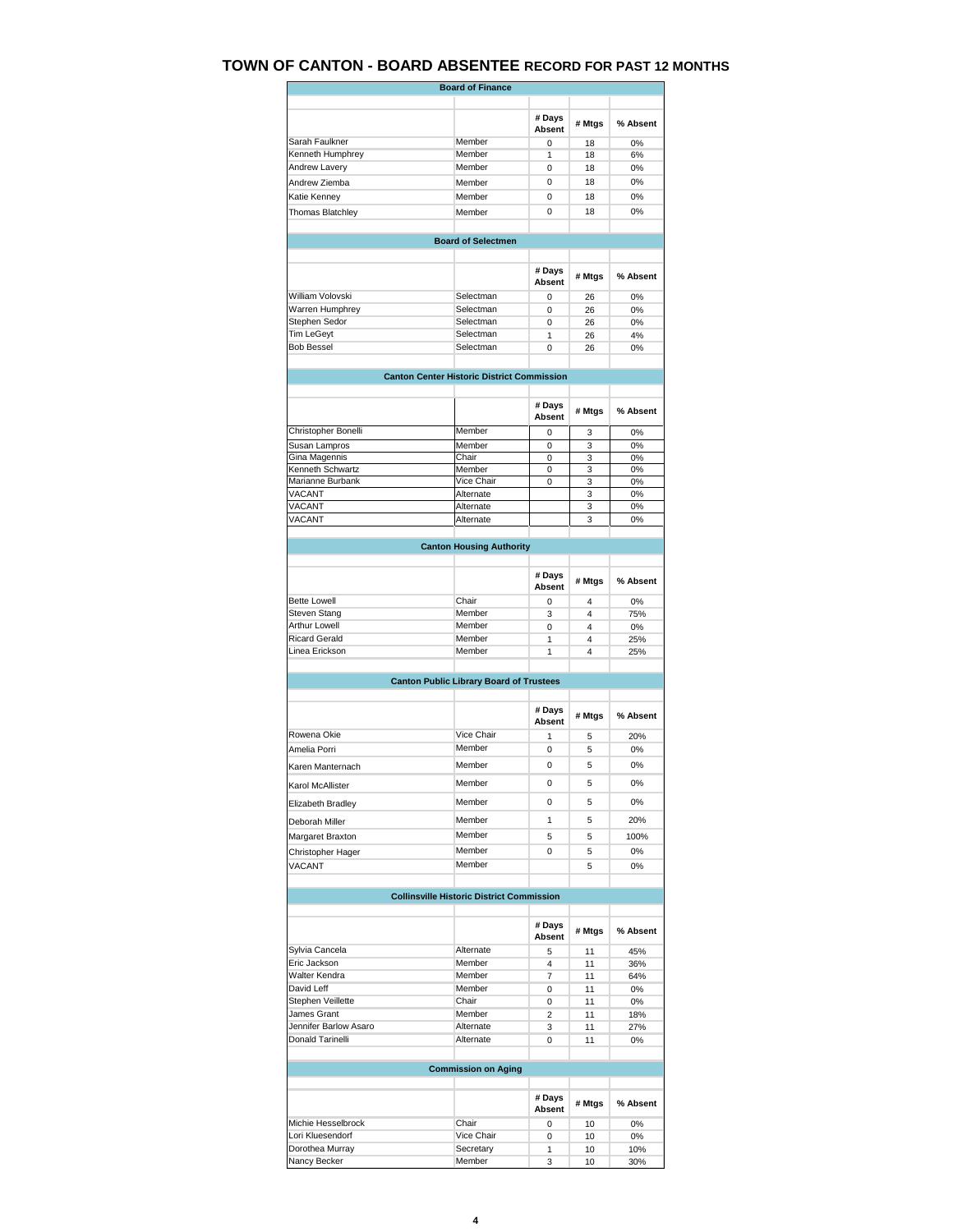## **TOWN OF CANTON - BOARD ABSENTEE RECORD FOR PAST 12 MONTHS**

|                       | <b>Board of Finance</b>                           |                         |                |          |
|-----------------------|---------------------------------------------------|-------------------------|----------------|----------|
|                       |                                                   | # Days<br>Absent        | # Mtgs         | % Absent |
| Sarah Faulkner        | Member                                            | $\Omega$                | 18             | 0%       |
| Kenneth Humphrey      | Member                                            | 1                       | 18             | 6%       |
| Andrew Lavery         | Member                                            | 0                       | 18             | 0%       |
| Andrew Ziemba         | Member                                            | 0                       | 18             | 0%       |
| Katie Kenney          | Member                                            | $\Omega$                | 18             | 0%       |
| Thomas Blatchley      | Member                                            | 0                       | 18             | 0%       |
|                       |                                                   |                         |                |          |
|                       | <b>Board of Selectmen</b>                         |                         |                |          |
|                       |                                                   | # Days                  | # Mtgs         | % Absent |
|                       |                                                   | <b>Absent</b>           |                |          |
| William Volovski      | Selectman                                         | $\Omega$                | 26             | 0%       |
| Warren Humphrey       | Selectman                                         | 0                       | 26             | 0%       |
| Stephen Sedor         | Selectman                                         | 0                       | 26             | 0%       |
| <b>Tim LeGeyt</b>     | Selectman                                         | 1                       | 26             | 4%       |
| <b>Bob Bessel</b>     | Selectman                                         | 0                       | 26             | 0%       |
|                       | <b>Canton Center Historic District Commission</b> |                         |                |          |
|                       |                                                   |                         |                |          |
|                       |                                                   | # Days<br><b>Absent</b> | # Mtgs         | % Absent |
| Christopher Bonelli   | Member                                            | $\Omega$                | 3              | 0%       |
| Susan Lampros         | Member                                            | $\mathbf 0$             | 3              | 0%       |
| Gina Magennis         | Chair                                             | 0                       | 3              | 0%       |
| Kenneth Schwartz      | Member<br>Vice Chair                              | $\Omega$                | 3              | 0%       |
| Marianne Burbank      |                                                   | 0                       | 3              | 0%       |
| VACANT                | Alternate                                         |                         | 3              | 0%       |
| VACANT                | Alternate                                         |                         | 3              | 0%       |
| VACANT                | Alternate                                         |                         | 3              | 0%       |
|                       | <b>Canton Housing Authority</b>                   |                         |                |          |
|                       |                                                   | # Days                  |                |          |
|                       |                                                   | Absent                  | # Mtgs         | % Absent |
| <b>Bette Lowell</b>   | Chair                                             | 0                       | $\overline{4}$ | 0%       |
| Steven Stang          | Member                                            | 3                       | 4              | 75%      |
| <b>Arthur Lowell</b>  | Member                                            | 0                       | 4              | 0%       |
| <b>Ricard Gerald</b>  | Member                                            | 1                       | 4              | 25%      |
| Linea Erickson        | Member                                            | 1                       | 4              | 25%      |
|                       |                                                   |                         |                |          |
|                       | <b>Canton Public Library Board of Trustees</b>    |                         |                |          |
|                       |                                                   | # Days<br><b>Absent</b> | # Mtgs         | % Absent |
| Rowena Okie           | Vice Chair                                        | 1                       | 5              | 20%      |
| Amelia Porri          | Member                                            | 0                       | 5              | 0%       |
| Karen Manternach      | Member                                            | 0                       | 5              | 0%       |
|                       |                                                   |                         |                |          |
| Karol McAllister      | Member                                            | 0                       | 5              | 0%       |
| Elizabeth Bradley     | Member                                            | 0                       | 5              | 0%       |
| Deborah Miller        | Member                                            | 1                       | 5              | 20%      |
| Margaret Braxton      | Member                                            | 5                       | 5              | 100%     |
| Christopher Hager     | Member                                            | 0                       | 5              | 0%       |
| VACANT                | Member                                            |                         | 5              | 0%       |
|                       |                                                   |                         |                |          |
|                       | <b>Collinsville Historic District Commission</b>  |                         |                |          |
|                       |                                                   | # Days<br>Absent        | # Mtgs         | % Absent |
| Sylvia Cancela        | Alternate                                         | 5                       | 11             | 45%      |
| Eric Jackson          | Member                                            | 4                       | 11             | 36%      |
| Walter Kendra         | Member                                            | 7                       | 11             | 64%      |
| David Leff            | Member                                            | 0                       | 11             | 0%       |
| Stephen Veillette     | Chair                                             | 0                       | 11             | $0\%$    |
| James Grant           | Member                                            | 2                       | 11             | 18%      |
| Jennifer Barlow Asaro | Alternate                                         | 3                       | 11             | 27%      |
| Donald Tarinelli      | Alternate                                         | 0                       | 11             | 0%       |
|                       | <b>Commission on Aging</b>                        |                         |                |          |
|                       |                                                   |                         |                |          |
|                       |                                                   | # Days<br>Absent        | # Mtgs         | % Absent |
| Michie Hesselbrock    | Chair                                             | 0                       | 10             | 0%       |
| Lori Kluesendorf      | Vice Chair                                        | 0                       | 10             | 0%       |
| Dorothea Murray       | Secretary                                         | 1                       | 10             | 10%      |
| Nancy Becker          | Member                                            | 3                       | 10             | 30%      |
|                       |                                                   |                         |                |          |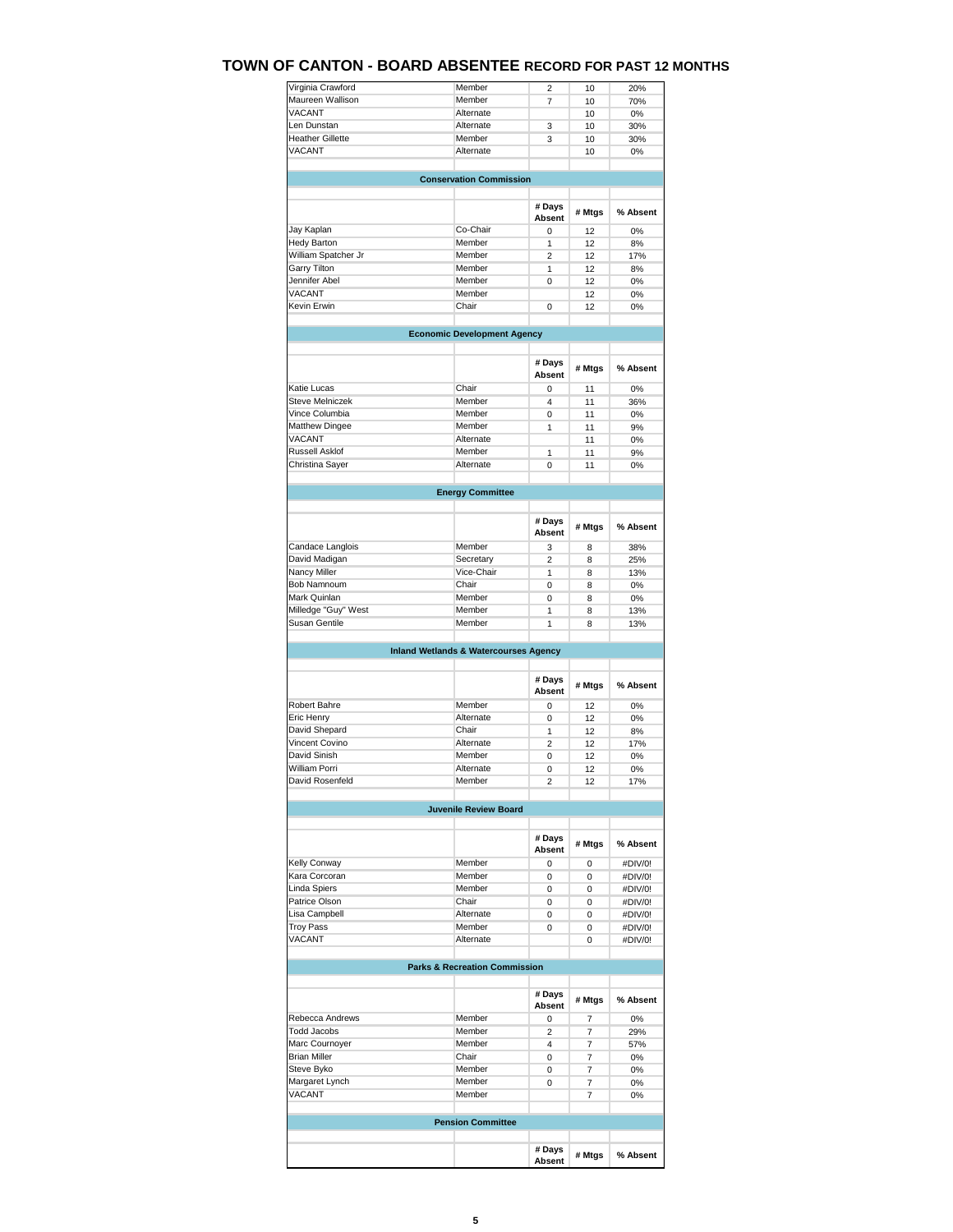## **TOWN OF CANTON - BOARD ABSENTEE RECORD FOR PAST 12 MONTHS**

| Virginia Crawford                                                                                                                                                                                                                         | Member                                           | 2                       | 10             | 20%                                                                                                                 |
|-------------------------------------------------------------------------------------------------------------------------------------------------------------------------------------------------------------------------------------------|--------------------------------------------------|-------------------------|----------------|---------------------------------------------------------------------------------------------------------------------|
| Maureen Wallison                                                                                                                                                                                                                          | Member                                           | $\overline{7}$          | 10             | 70%                                                                                                                 |
| VACANT                                                                                                                                                                                                                                    | Alternate                                        |                         | 10             | 0%                                                                                                                  |
|                                                                                                                                                                                                                                           |                                                  |                         |                |                                                                                                                     |
| Len Dunstan                                                                                                                                                                                                                               | Alternate                                        | 3                       | 10             | 30%                                                                                                                 |
| <b>Heather Gillette</b>                                                                                                                                                                                                                   | Member                                           | 3                       | 10             | 30%                                                                                                                 |
| VACANT                                                                                                                                                                                                                                    | Alternate                                        |                         | 10             | 0%                                                                                                                  |
|                                                                                                                                                                                                                                           | <b>Conservation Commission</b>                   |                         |                |                                                                                                                     |
|                                                                                                                                                                                                                                           |                                                  |                         |                |                                                                                                                     |
|                                                                                                                                                                                                                                           |                                                  | # Days<br>Absent        | # Mtgs         | % Absent                                                                                                            |
| Jay Kaplan                                                                                                                                                                                                                                | Co-Chair                                         | 0                       | 12             | 0%                                                                                                                  |
| <b>Hedy Barton</b>                                                                                                                                                                                                                        | Member                                           | 1                       | 12             | 8%                                                                                                                  |
| William Spatcher Jr                                                                                                                                                                                                                       | Member                                           | 2                       | 12             | 17%                                                                                                                 |
|                                                                                                                                                                                                                                           | Member                                           |                         |                |                                                                                                                     |
| Garry Tilton                                                                                                                                                                                                                              |                                                  | 1                       | 12             | 8%                                                                                                                  |
| Jennifer Abel                                                                                                                                                                                                                             | Member                                           | 0                       | 12             | $0\%$                                                                                                               |
| <b>VACANT</b>                                                                                                                                                                                                                             | Member                                           |                         | 12             | 0%                                                                                                                  |
| Kevin Erwin                                                                                                                                                                                                                               | Chair                                            | $\mathbf 0$             | 12             | 0%                                                                                                                  |
|                                                                                                                                                                                                                                           | <b>Economic Development Agency</b>               |                         |                |                                                                                                                     |
|                                                                                                                                                                                                                                           |                                                  |                         |                |                                                                                                                     |
|                                                                                                                                                                                                                                           |                                                  | # Days<br>Absent        | # Mtgs         | % Absent                                                                                                            |
| Katie Lucas                                                                                                                                                                                                                               | Chair                                            | $\mathbf 0$             | 11             | 0%                                                                                                                  |
|                                                                                                                                                                                                                                           |                                                  |                         |                |                                                                                                                     |
| <b>Steve Melniczek</b>                                                                                                                                                                                                                    | Member                                           | 4                       | 11             | 36%                                                                                                                 |
| Vince Columbia                                                                                                                                                                                                                            | Member                                           | 0                       | 11             | 0%                                                                                                                  |
| <b>Matthew Dingee</b>                                                                                                                                                                                                                     | Member                                           | 1                       | 11             | 9%                                                                                                                  |
| VACANT                                                                                                                                                                                                                                    | Alternate                                        |                         | 11             | 0%                                                                                                                  |
|                                                                                                                                                                                                                                           |                                                  |                         |                |                                                                                                                     |
| Russell Asklof                                                                                                                                                                                                                            | Member                                           | 1                       | 11             | 9%                                                                                                                  |
| Christina Sayer                                                                                                                                                                                                                           | Alternate                                        | 0                       | 11             | 0%                                                                                                                  |
|                                                                                                                                                                                                                                           | <b>Energy Committee</b>                          |                         |                |                                                                                                                     |
|                                                                                                                                                                                                                                           |                                                  |                         |                |                                                                                                                     |
|                                                                                                                                                                                                                                           |                                                  | # Days<br><b>Absent</b> | # Mtgs         | % Absent                                                                                                            |
| Candace Langlois                                                                                                                                                                                                                          | Member                                           | 3                       | 8              | 38%                                                                                                                 |
| David Madigan                                                                                                                                                                                                                             | Secretary                                        |                         |                |                                                                                                                     |
|                                                                                                                                                                                                                                           |                                                  | $\overline{2}$          | 8              | 25%                                                                                                                 |
| Nancy Miller                                                                                                                                                                                                                              | Vice-Chair                                       | 1                       | 8              | 13%                                                                                                                 |
| Bob Namnoum                                                                                                                                                                                                                               | Chair                                            | 0                       | 8              | 0%                                                                                                                  |
|                                                                                                                                                                                                                                           |                                                  |                         |                |                                                                                                                     |
|                                                                                                                                                                                                                                           |                                                  |                         |                |                                                                                                                     |
| Mark Quinlan                                                                                                                                                                                                                              | Member                                           | 0                       | 8              | 0%                                                                                                                  |
|                                                                                                                                                                                                                                           | Member                                           | 1                       | 8              | 13%                                                                                                                 |
| Milledge "Guy" West<br>Susan Gentile                                                                                                                                                                                                      | Member                                           | 1                       | 8              | 13%                                                                                                                 |
|                                                                                                                                                                                                                                           |                                                  |                         |                |                                                                                                                     |
|                                                                                                                                                                                                                                           | <b>Inland Wetlands &amp; Watercourses Agency</b> |                         |                |                                                                                                                     |
|                                                                                                                                                                                                                                           |                                                  | # Days<br>Absent        | # Mtgs         |                                                                                                                     |
| Robert Bahre                                                                                                                                                                                                                              | Member                                           | 0                       | 12             |                                                                                                                     |
|                                                                                                                                                                                                                                           |                                                  |                         |                | 0%                                                                                                                  |
| Eric Henry                                                                                                                                                                                                                                | Alternate                                        | 0                       | 12             | 0%                                                                                                                  |
| David Shepard                                                                                                                                                                                                                             | Chair                                            | 1                       | 12             | 8%                                                                                                                  |
| Vincent Covino                                                                                                                                                                                                                            | Alternate                                        | $\overline{2}$          | 12             | 17%                                                                                                                 |
|                                                                                                                                                                                                                                           |                                                  |                         |                |                                                                                                                     |
| David Sinish                                                                                                                                                                                                                              | Member                                           | 0                       | 12             | 0%                                                                                                                  |
| <b>William Porri</b>                                                                                                                                                                                                                      | Alternate                                        | $\overline{0}$          | 12             | 0%                                                                                                                  |
| David Rosenfeld                                                                                                                                                                                                                           | Member                                           | 2                       | 12             | 17%                                                                                                                 |
|                                                                                                                                                                                                                                           | <b>Juvenile Review Board</b>                     |                         |                |                                                                                                                     |
|                                                                                                                                                                                                                                           |                                                  |                         |                |                                                                                                                     |
|                                                                                                                                                                                                                                           |                                                  | # Days<br>Absent        | # Mtgs         |                                                                                                                     |
|                                                                                                                                                                                                                                           | Member                                           | 0                       | $\mathbf 0$    |                                                                                                                     |
|                                                                                                                                                                                                                                           |                                                  |                         |                |                                                                                                                     |
|                                                                                                                                                                                                                                           | Member                                           | 0                       | 0              |                                                                                                                     |
|                                                                                                                                                                                                                                           | Member                                           | 0                       | 0              |                                                                                                                     |
|                                                                                                                                                                                                                                           | Chair                                            | 0                       | 0              |                                                                                                                     |
|                                                                                                                                                                                                                                           | Alternate                                        |                         | 0              |                                                                                                                     |
|                                                                                                                                                                                                                                           |                                                  | 0                       |                |                                                                                                                     |
|                                                                                                                                                                                                                                           | Member                                           | 0                       | 0              |                                                                                                                     |
|                                                                                                                                                                                                                                           | Alternate                                        |                         | 0              |                                                                                                                     |
|                                                                                                                                                                                                                                           | <b>Parks &amp; Recreation Commission</b>         |                         |                |                                                                                                                     |
|                                                                                                                                                                                                                                           |                                                  |                         |                |                                                                                                                     |
|                                                                                                                                                                                                                                           |                                                  | # Days<br>Absent        | # Mtgs         |                                                                                                                     |
|                                                                                                                                                                                                                                           | Member                                           | 0                       | 7              | % Absent<br>% Absent<br>#DIV/0!<br>#DIV/0!<br>#DIV/0!<br>#DIV/0!<br>#DIV/0!<br>#DIV/0!<br>#DIV/0!<br>% Absent<br>0% |
|                                                                                                                                                                                                                                           | Member                                           | $\overline{c}$          | $\overline{7}$ | 29%                                                                                                                 |
|                                                                                                                                                                                                                                           |                                                  |                         |                |                                                                                                                     |
|                                                                                                                                                                                                                                           | Member                                           | 4                       | $\overline{7}$ | 57%                                                                                                                 |
|                                                                                                                                                                                                                                           | Chair                                            | 0                       | $\overline{7}$ | 0%                                                                                                                  |
|                                                                                                                                                                                                                                           | Member                                           | 0                       | $\overline{7}$ | 0%                                                                                                                  |
|                                                                                                                                                                                                                                           |                                                  |                         |                |                                                                                                                     |
|                                                                                                                                                                                                                                           | Member                                           | 0                       | 7              | 0%                                                                                                                  |
| Kelly Conway<br>Kara Corcoran<br>Linda Spiers<br>Patrice Olson<br>Lisa Campbell<br><b>Troy Pass</b><br>VACANT<br>Rebecca Andrews<br><b>Todd Jacobs</b><br>Marc Cournoyer<br><b>Brian Miller</b><br>Steve Byko<br>Margaret Lynch<br>VACANT | Member                                           |                         | $\overline{7}$ | 0%                                                                                                                  |
|                                                                                                                                                                                                                                           | <b>Pension Committee</b>                         |                         |                |                                                                                                                     |
|                                                                                                                                                                                                                                           |                                                  | # Days                  |                |                                                                                                                     |